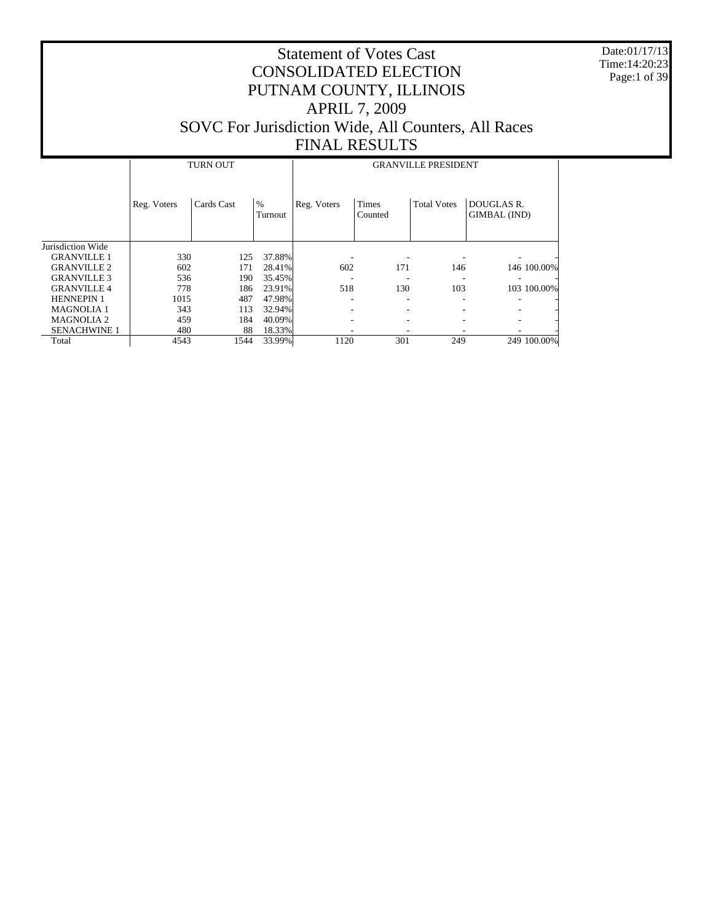Date:01/17/13 Time:14:20:23 Page:1 of 39

|                     |             | <b>TURN OUT</b> |                 | <b>GRANVILLE PRESIDENT</b> |                         |                    |                            |  |  |  |
|---------------------|-------------|-----------------|-----------------|----------------------------|-------------------------|--------------------|----------------------------|--|--|--|
|                     | Reg. Voters | Cards Cast      | $\%$<br>Turnout | Reg. Voters                | <b>Times</b><br>Counted | <b>Total Votes</b> | DOUGLAS R.<br>GIMBAL (IND) |  |  |  |
| Jurisdiction Wide   |             |                 |                 |                            |                         |                    |                            |  |  |  |
| <b>GRANVILLE 1</b>  | 330         | 125             | 37.88%          |                            |                         |                    |                            |  |  |  |
| <b>GRANVILLE 2</b>  | 602         | 171             | 28.41%          | 602                        | 171                     | 146                | 146 100.00%                |  |  |  |
| <b>GRANVILLE 3</b>  | 536         | 190             | 35.45%          |                            |                         |                    |                            |  |  |  |
| <b>GRANVILLE 4</b>  | 778         | 186             | 23.91%          | 518                        | 130                     | 103                | 103 100.00%                |  |  |  |
| <b>HENNEPIN 1</b>   | 1015        | 487             | 47.98%          |                            |                         |                    |                            |  |  |  |
| <b>MAGNOLIA 1</b>   | 343         | 113             | 32.94%          |                            |                         |                    |                            |  |  |  |
| <b>MAGNOLIA 2</b>   | 459         | 184             | 40.09%          |                            |                         |                    |                            |  |  |  |
| <b>SENACHWINE 1</b> | 480         | 88              | 18.33%          |                            |                         |                    |                            |  |  |  |
| Total               | 4543        | 1544            | 33.99%          | 1120                       | 301                     | 249                | 249 100.00%                |  |  |  |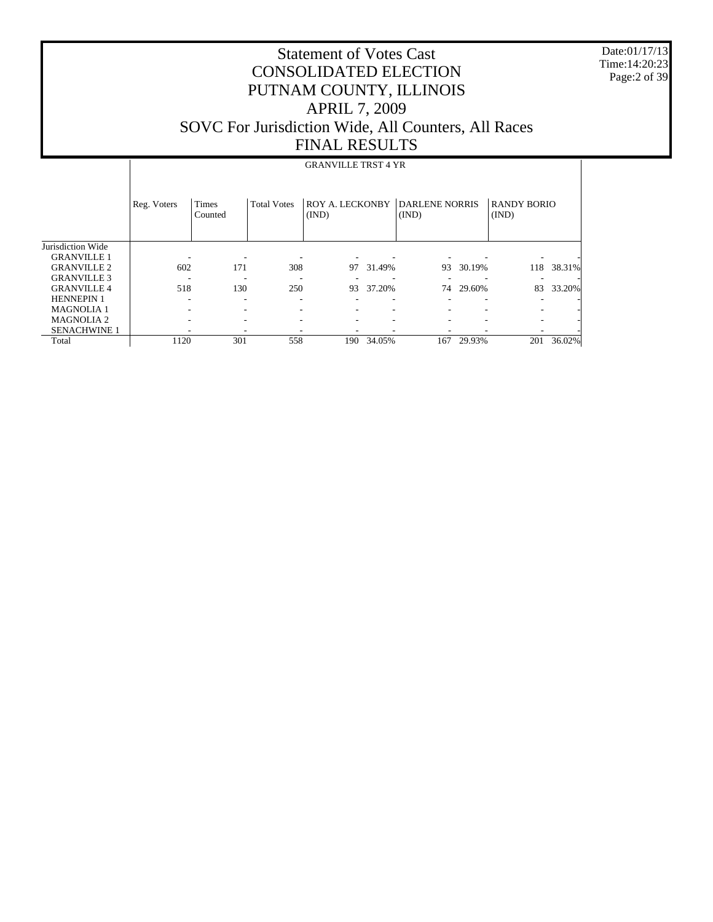Date:01/17/13 Time:14:20:23 Page:2 of 39

#### Statement of Votes Cast CONSOLIDATED ELECTION PUTNAM COUNTY, ILLINOIS APRIL 7, 2009 SOVC For Jurisdiction Wide, All Counters, All Races FINAL RESULTS

#### Jurisdiction Wide GRANVILLE 1 GRANVILLE 2 GRANVILLE 3 GRANVILLE 4 HENNEPIN 1 MAGNOLIA 1 MAGNOLIA 2 SENACHWINE 1 Total Reg. Voters | Times Counted Total Votes | ROY A. LECKONBY | DARLENE NORRIS (IND) (IND) RANDY BORIO (IND) GRANVILLE TRST 4 YR - - - - - - - - - 602 171 308 97 31.49% 93 30.19% 118 38.31% - - - - - - - - - 518 130 250 93 37.20% 74 29.60% 83 33.20% - - - - - - - - - - - - - - - - - - - - - - - - - - - - - - - - - - - - 1120 301 558 190 34.05% 167 29.93% 201 36.02%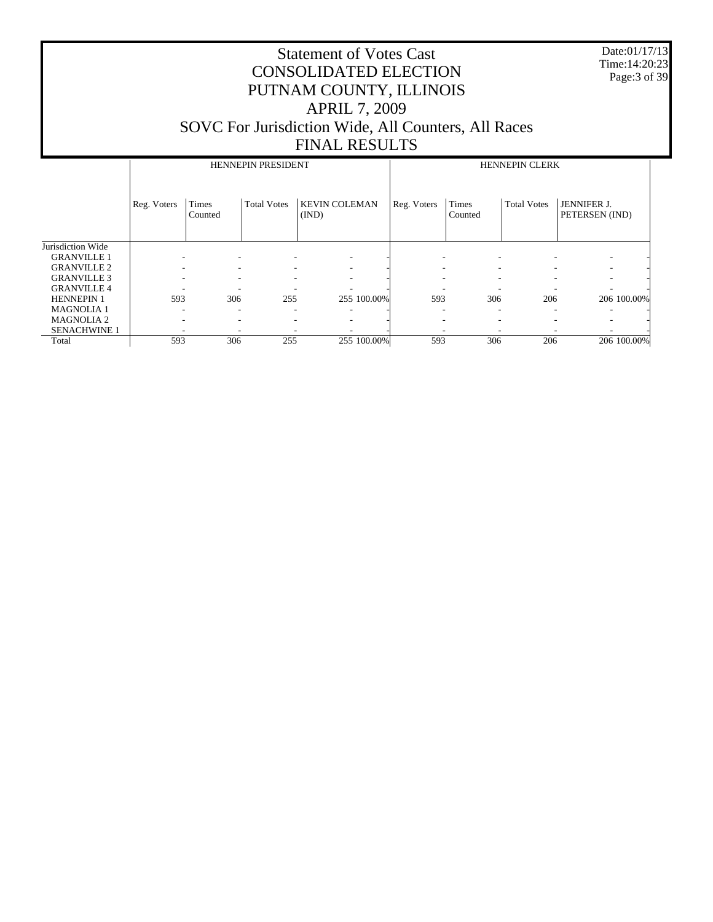Date:01/17/13 Time:14:20:23 Page:3 of 39

|                     |                          |                          | <b>HENNEPIN PRESIDENT</b> |                               | <b>HENNEPIN CLERK</b> |                         |                    |                                      |  |
|---------------------|--------------------------|--------------------------|---------------------------|-------------------------------|-----------------------|-------------------------|--------------------|--------------------------------------|--|
|                     | Reg. Voters              | Times<br>Counted         | <b>Total Votes</b>        | <b>KEVIN COLEMAN</b><br>(IND) | Reg. Voters           | <b>Times</b><br>Counted | <b>Total Votes</b> | <b>JENNIFER J.</b><br>PETERSEN (IND) |  |
| Jurisdiction Wide   |                          |                          |                           |                               |                       |                         |                    |                                      |  |
| <b>GRANVILLE 1</b>  | ۰                        | ۰                        |                           |                               |                       |                         | ٠                  |                                      |  |
| <b>GRANVILLE 2</b>  | $\overline{\phantom{a}}$ | $\overline{\phantom{a}}$ | ۰                         | ۰                             |                       |                         | ۰                  |                                      |  |
| <b>GRANVILLE 3</b>  | $\overline{\phantom{a}}$ | $\overline{\phantom{a}}$ | ۰                         |                               |                       |                         | ۰                  |                                      |  |
| <b>GRANVILLE 4</b>  | ۰                        | ٠                        |                           | -                             |                       |                         | -                  | ٠                                    |  |
| <b>HENNEPIN 1</b>   | 593                      | 306                      | 255                       | 255 100.00%                   | 593                   | 306                     | 206                | 206 100.00%                          |  |
| <b>MAGNOLIA1</b>    | ۰                        | $\overline{\phantom{a}}$ | ۰                         | ۰                             | ۰                     | ۰                       | ٠                  |                                      |  |
| <b>MAGNOLIA2</b>    | ۰                        | ۰                        | ۰                         | ۰                             |                       |                         |                    | ۰                                    |  |
| <b>SENACHWINE 1</b> |                          | ۰                        |                           |                               |                       |                         |                    |                                      |  |
| Total               | 593                      | 306                      | 255                       | 255 100.00%                   | 593                   | 306                     | 206                | 206 100.00%                          |  |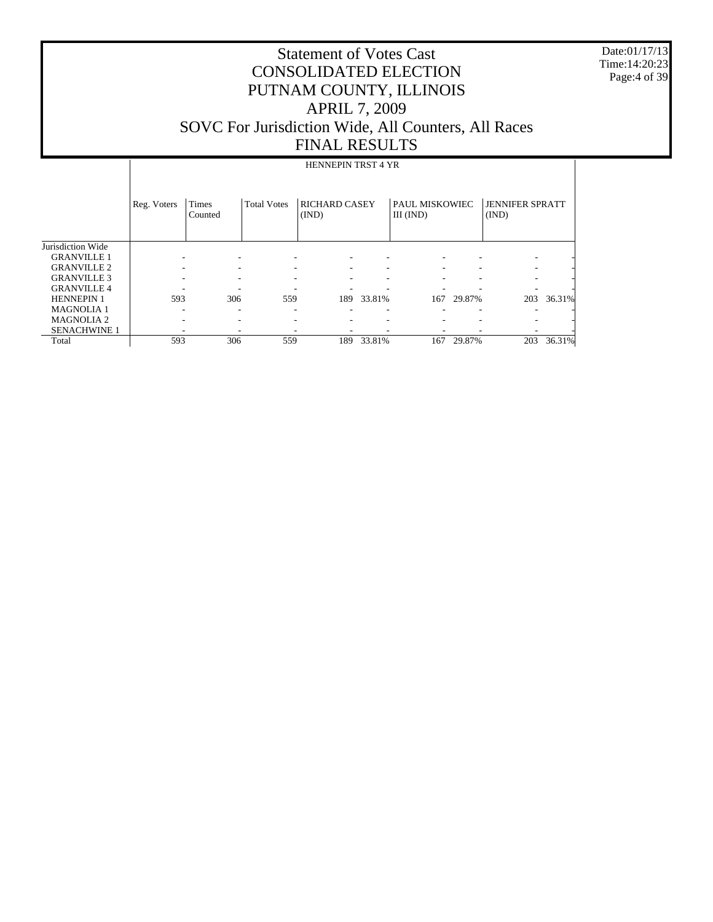Date:01/17/13 Time:14:20:23 Page:4 of 39

|                     |             |                  |                    | <b>HENNEPIN TRST 4 YR</b>     |        |                             |        |                                 |        |
|---------------------|-------------|------------------|--------------------|-------------------------------|--------|-----------------------------|--------|---------------------------------|--------|
|                     | Reg. Voters | Times<br>Counted | <b>Total Votes</b> | <b>RICHARD CASEY</b><br>(IND) |        | PAUL MISKOWIEC<br>III (IND) |        | <b>JENNIFER SPRATT</b><br>(IND) |        |
| Jurisdiction Wide   |             |                  |                    |                               |        |                             |        |                                 |        |
| <b>GRANVILLE 1</b>  |             |                  |                    |                               |        |                             |        |                                 |        |
| <b>GRANVILLE 2</b>  |             |                  | ۰                  |                               |        |                             |        |                                 |        |
| <b>GRANVILLE 3</b>  |             |                  |                    |                               |        |                             |        |                                 |        |
| <b>GRANVILLE 4</b>  |             |                  |                    |                               |        |                             |        |                                 |        |
| <b>HENNEPIN 1</b>   | 593         | 306              | 559                | 189                           | 33.81% | 167                         | 29.87% | 203                             | 36.31% |
| <b>MAGNOLIA1</b>    |             |                  |                    |                               |        |                             |        |                                 |        |
| <b>MAGNOLIA 2</b>   |             |                  |                    |                               |        |                             |        |                                 |        |
| <b>SENACHWINE 1</b> |             |                  |                    |                               |        |                             |        |                                 |        |
| Total               | 593         | 306              | 559                | 189                           | 33.81% | 167                         | 29.87% | 203                             | 36.31% |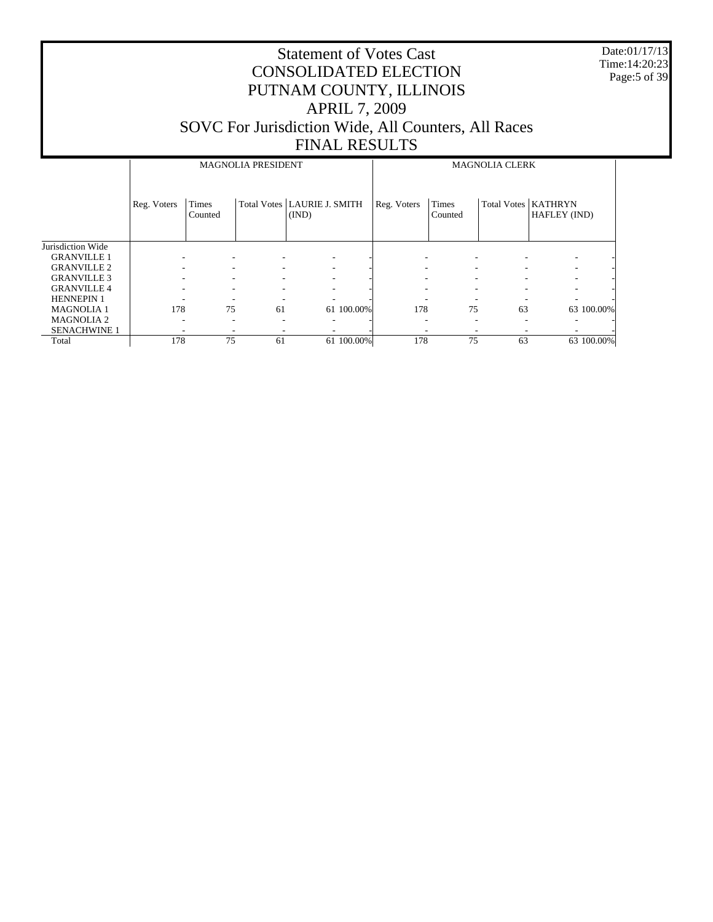Date:01/17/13 Time:14:20:23 Page:5 of 39

|                     |             |                  | <b>MAGNOLIA PRESIDENT</b> |                                        | <b>MAGNOLIA CLERK</b> |                          |                    |                                |  |
|---------------------|-------------|------------------|---------------------------|----------------------------------------|-----------------------|--------------------------|--------------------|--------------------------------|--|
|                     | Reg. Voters | Times<br>Counted |                           | Total Votes   LAURIE J. SMITH<br>(IND) | Reg. Voters           | Times<br>Counted         | <b>Total Votes</b> | <b>KATHRYN</b><br>HAFLEY (IND) |  |
| Jurisdiction Wide   |             |                  |                           |                                        |                       |                          |                    |                                |  |
| <b>GRANVILLE 1</b>  |             |                  |                           | ٠                                      |                       |                          |                    | ۰                              |  |
| <b>GRANVILLE 2</b>  |             |                  |                           | ۰                                      |                       | -                        |                    | ۰                              |  |
| <b>GRANVILLE 3</b>  |             |                  |                           | ٠                                      |                       | $\overline{\phantom{a}}$ |                    |                                |  |
| <b>GRANVILLE 4</b>  |             |                  | ۰                         | ٠                                      |                       | ٠                        |                    |                                |  |
| <b>HENNEPIN 1</b>   |             |                  |                           | ٠                                      |                       | $\overline{\phantom{a}}$ |                    |                                |  |
| <b>MAGNOLIA1</b>    | 178         | 75               | 61                        | 61 100.00%                             | 178                   | 75                       | 63                 | 63 100.00%                     |  |
| <b>MAGNOLIA2</b>    |             | -                | ۰                         | ۰                                      | -                     | $\overline{\phantom{a}}$ |                    | ۰                              |  |
| <b>SENACHWINE 1</b> |             |                  |                           |                                        |                       |                          |                    |                                |  |
| Total               | 178         | 75               | 61                        | 61 100.00%                             | 178                   | 75                       | 63                 | 63 100.00%                     |  |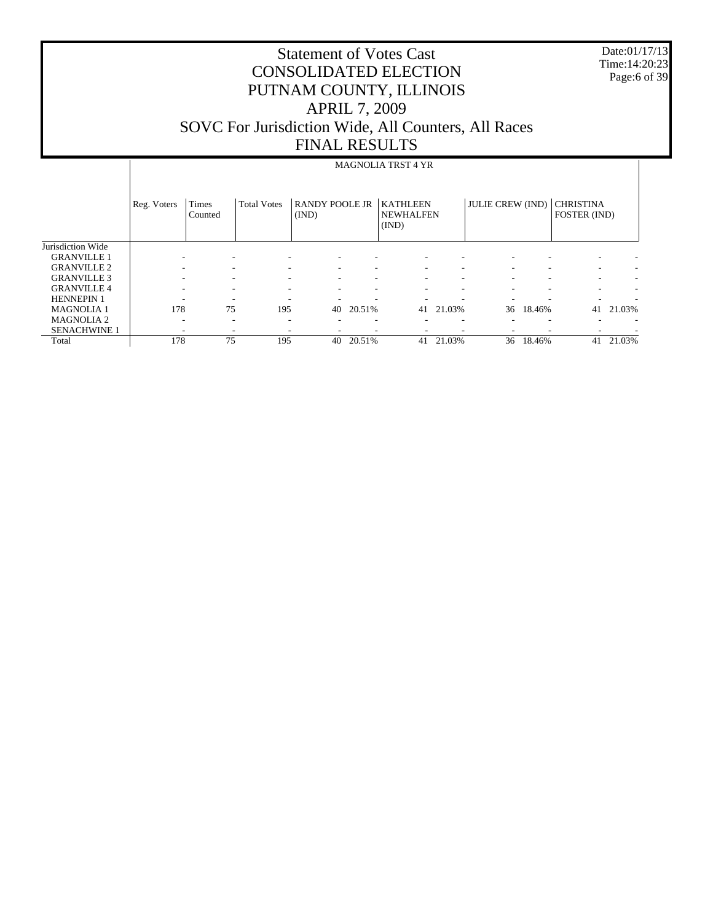Date:01/17/13 Time:14:20:23 Page:6 of 39

|                     |             |                  |                    |                                |        | <b>MAGNOLIA TRST 4 YR</b>                    |                          |                         |        |                                  |        |
|---------------------|-------------|------------------|--------------------|--------------------------------|--------|----------------------------------------------|--------------------------|-------------------------|--------|----------------------------------|--------|
|                     | Reg. Voters | Times<br>Counted | <b>Total Votes</b> | <b>RANDY POOLE JR</b><br>(IND) |        | <b>KATHLEEN</b><br><b>NEWHALFEN</b><br>(IND) |                          | <b>JULIE CREW (IND)</b> |        | <b>CHRISTINA</b><br>FOSTER (IND) |        |
| Jurisdiction Wide   |             |                  |                    |                                |        |                                              |                          |                         |        |                                  |        |
| <b>GRANVILLE 1</b>  |             |                  |                    |                                |        |                                              |                          |                         |        |                                  |        |
| <b>GRANVILLE 2</b>  |             |                  |                    | $\overline{\phantom{a}}$       |        |                                              | ۰                        |                         |        | ۰                                |        |
| <b>GRANVILLE 3</b>  |             |                  |                    | ۰                              |        |                                              | ۰                        |                         |        | ۰                                |        |
| <b>GRANVILLE 4</b>  |             |                  |                    |                                |        |                                              | ۰                        |                         |        | ۰                                |        |
| <b>HENNEPIN 1</b>   |             |                  |                    |                                |        |                                              |                          |                         |        |                                  |        |
| <b>MAGNOLIA1</b>    | 178         | 75               | 195                | 40                             | 20.51% | 41                                           | 21.03%                   | 36                      | 18.46% | 41                               | 21.03% |
| <b>MAGNOLIA2</b>    |             | ۰<br>۰           | ۰                  |                                |        |                                              | $\overline{\phantom{a}}$ |                         |        | ۰                                |        |
| <b>SENACHWINE 1</b> |             | -                |                    |                                |        |                                              | $\overline{\phantom{a}}$ |                         |        | ۰                                |        |
| Total               | 178         | 75               | 195                | 40                             | 20.51% | 41                                           | 21.03%                   | 36                      | 18.46% | 41                               | 21.03% |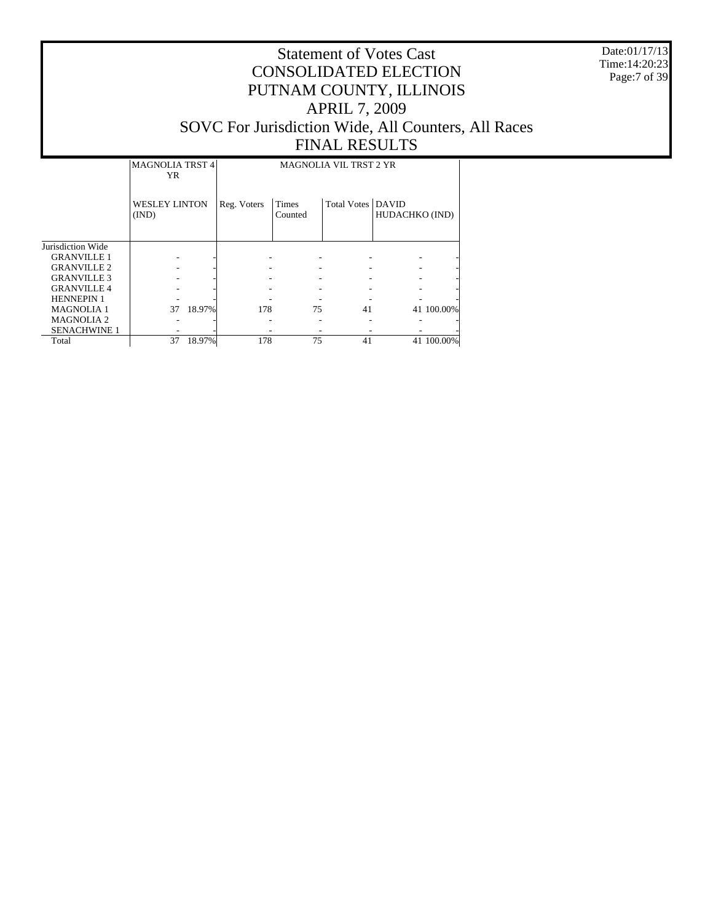Date:01/17/13 Time:14:20:23 Page:7 of 39

|                     | <b>MAGNOLIA TRST 4</b><br>YR  |        | <b>MAGNOLIA VIL TRST 2 YR</b> |                  |                            |                |            |  |
|---------------------|-------------------------------|--------|-------------------------------|------------------|----------------------------|----------------|------------|--|
|                     | <b>WESLEY LINTON</b><br>(IND) |        | Reg. Voters                   | Times<br>Counted | <b>Total Votes   DAVID</b> | HUDACHKO (IND) |            |  |
| Jurisdiction Wide   |                               |        |                               |                  |                            |                |            |  |
| <b>GRANVILLE 1</b>  |                               |        |                               |                  |                            |                |            |  |
| <b>GRANVILLE 2</b>  |                               |        |                               |                  |                            |                |            |  |
| <b>GRANVILLE 3</b>  |                               |        |                               |                  |                            |                |            |  |
| <b>GRANVILLE4</b>   |                               |        |                               |                  |                            |                |            |  |
| <b>HENNEPIN 1</b>   |                               |        |                               |                  |                            |                |            |  |
| <b>MAGNOLIA1</b>    | 37                            | 18.97% | 178                           | 75               | 41                         |                | 41 100.00% |  |
| <b>MAGNOLIA2</b>    |                               |        |                               |                  |                            |                |            |  |
| <b>SENACHWINE 1</b> |                               |        |                               |                  |                            |                |            |  |
| Total               | 37                            | 18.97% | 178                           | 75               | 41                         |                | 41 100.00% |  |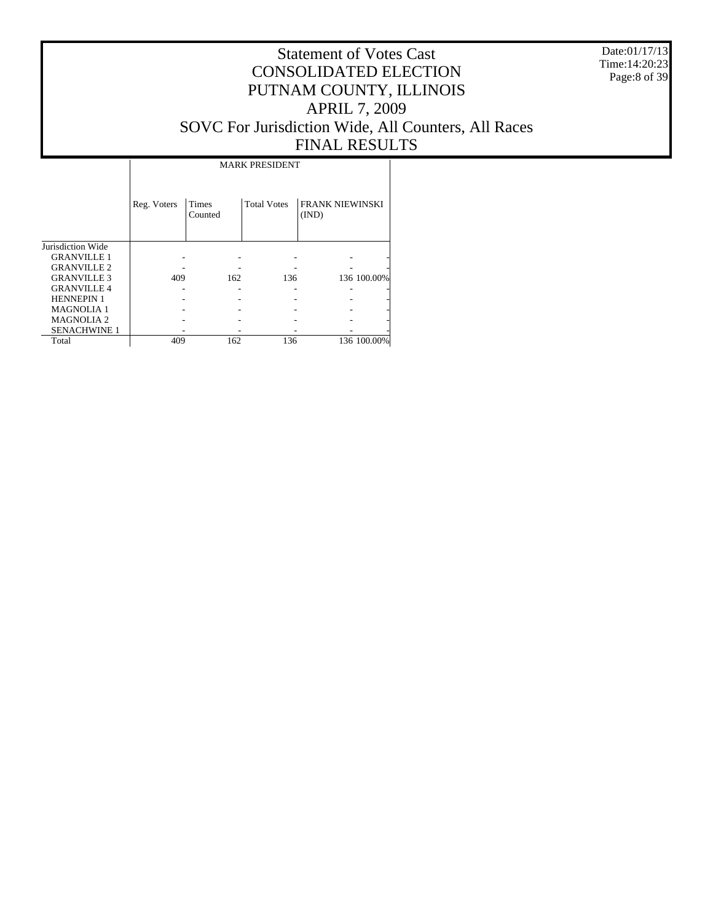Date:01/17/13 Time:14:20:23 Page:8 of 39

# Statement of Votes Cast CONSOLIDATED ELECTION PUTNAM COUNTY, ILLINOIS APRIL 7, 2009 SOVC For Jurisdiction Wide, All Counters, All Races FINAL RESULTS

Τ

|                     |             |                  | <b>MARK PRESIDENT</b> |                                 |             |
|---------------------|-------------|------------------|-----------------------|---------------------------------|-------------|
|                     | Reg. Voters | Times<br>Counted | <b>Total Votes</b>    | <b>FRANK NIEWINSKI</b><br>(IND) |             |
| Jurisdiction Wide   |             |                  |                       |                                 |             |
| <b>GRANVILLE 1</b>  |             |                  |                       |                                 |             |
| <b>GRANVILLE 2</b>  |             |                  |                       |                                 |             |
| <b>GRANVILLE 3</b>  | 409         | 162              | 136                   |                                 | 136 100.00% |
| <b>GRANVILLE 4</b>  |             |                  |                       |                                 |             |
| <b>HENNEPIN 1</b>   |             |                  |                       |                                 |             |
| <b>MAGNOLIA 1</b>   |             |                  |                       |                                 |             |
| <b>MAGNOLIA2</b>    |             |                  |                       |                                 |             |
| <b>SENACHWINE 1</b> |             |                  |                       |                                 |             |
| Total               | 409         | 162              | 136                   |                                 | 136 100.00% |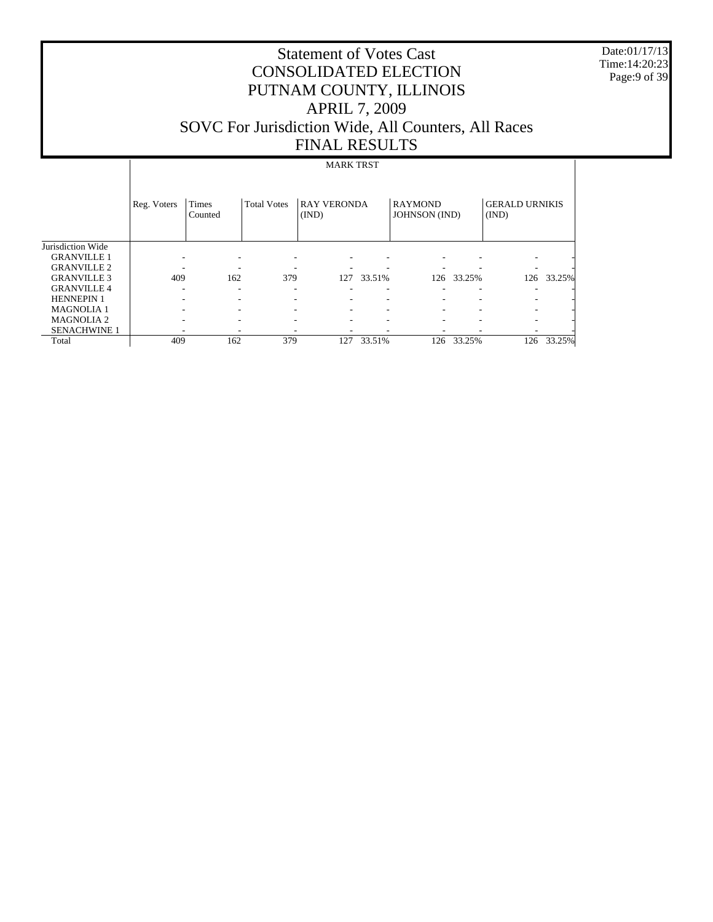Date:01/17/13 Time:14:20:23 Page:9 of 39

 $\overline{\phantom{a}}$ 

# Statement of Votes Cast CONSOLIDATED ELECTION PUTNAM COUNTY, ILLINOIS APRIL 7, 2009 SOVC For Jurisdiction Wide, All Counters, All Races FINAL RESULTS

# MARK TRST

|                     | Reg. Voters | Times<br>Counted | <b>Total Votes</b> | <b>RAY VERONDA</b><br>(IND) |        | <b>RAYMOND</b><br><b>JOHNSON</b> (IND) |        | <b>GERALD URNIKIS</b><br>(IND) |        |
|---------------------|-------------|------------------|--------------------|-----------------------------|--------|----------------------------------------|--------|--------------------------------|--------|
| Jurisdiction Wide   |             |                  |                    |                             |        |                                        |        |                                |        |
| <b>GRANVILLE 1</b>  |             |                  |                    |                             |        |                                        |        |                                |        |
| <b>GRANVILLE 2</b>  |             |                  |                    | ۰                           |        |                                        |        |                                |        |
| <b>GRANVILLE 3</b>  | 409         | 162              | 379                | 127                         | 33.51% | 126                                    | 33.25% | 126                            | 33.25% |
| <b>GRANVILLE 4</b>  | ۰           | ۰                | ۰                  | ۰                           | -      | ۰                                      | ۰      |                                |        |
| <b>HENNEPIN 1</b>   | ۰           |                  |                    | ۰                           |        | ٠                                      | ۰      |                                |        |
| <b>MAGNOLIA1</b>    |             |                  |                    | ۰                           |        | ٠                                      | ۰      |                                |        |
| <b>MAGNOLIA2</b>    |             |                  |                    | ٠                           |        | $\overline{\phantom{a}}$               | ۰      |                                |        |
| <b>SENACHWINE 1</b> |             |                  |                    |                             |        |                                        |        |                                |        |
| Total               | 409         | 162              | 379                | 127                         | 33.51% | 126                                    | 33.25% | 126                            | 33.25% |

 $\mathbf{I}$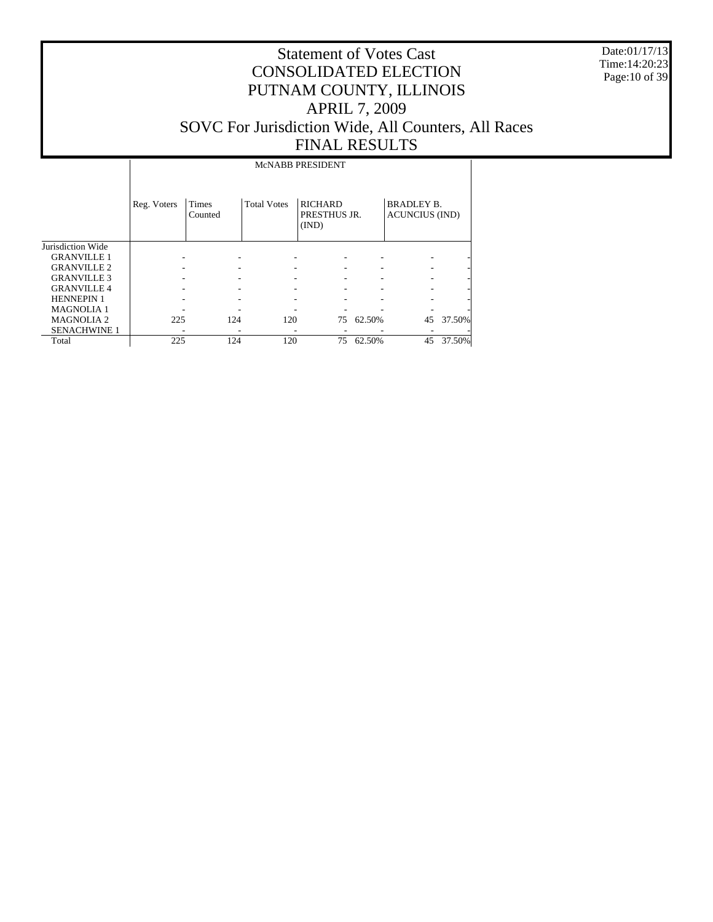Date:01/17/13 Time:14:20:23 Page:10 of 39

# Statement of Votes Cast CONSOLIDATED ELECTION PUTNAM COUNTY, ILLINOIS APRIL 7, 2009 SOVC For Jurisdiction Wide, All Counters, All Races FINAL RESULTS

# McNABB PRESIDENT

|                       | Reg. Voters | Times<br>Counted | <b>Total Votes</b> | <b>RICHARD</b><br>PRESTHUS JR.<br>(IND) |        | <b>BRADLEY B.</b><br><b>ACUNCIUS (IND)</b> |        |
|-----------------------|-------------|------------------|--------------------|-----------------------------------------|--------|--------------------------------------------|--------|
| Jurisdiction Wide     |             |                  |                    |                                         |        |                                            |        |
| <b>GRANVILLE 1</b>    |             |                  |                    |                                         |        |                                            |        |
| <b>GRANVILLE 2</b>    |             |                  |                    |                                         |        |                                            | ۰      |
| <b>GRANVILLE 3</b>    |             |                  |                    |                                         |        |                                            | ۰      |
| <b>GRANVILLE4</b>     |             |                  |                    |                                         | ۰      |                                            | ۰      |
| <b>HENNEPIN 1</b>     |             |                  |                    |                                         |        |                                            | ۰      |
| <b>MAGNOLIA1</b>      |             |                  |                    |                                         |        |                                            |        |
| MAGNOLIA <sub>2</sub> | 225         | 124              | 120                | 75                                      | 62.50% | 45                                         | 37.50% |
| <b>SENACHWINE 1</b>   |             |                  | ٠                  |                                         |        |                                            | -      |
| Total                 | 225         | 124              | 120                | 75                                      | 62.50% | 45                                         | 37.50% |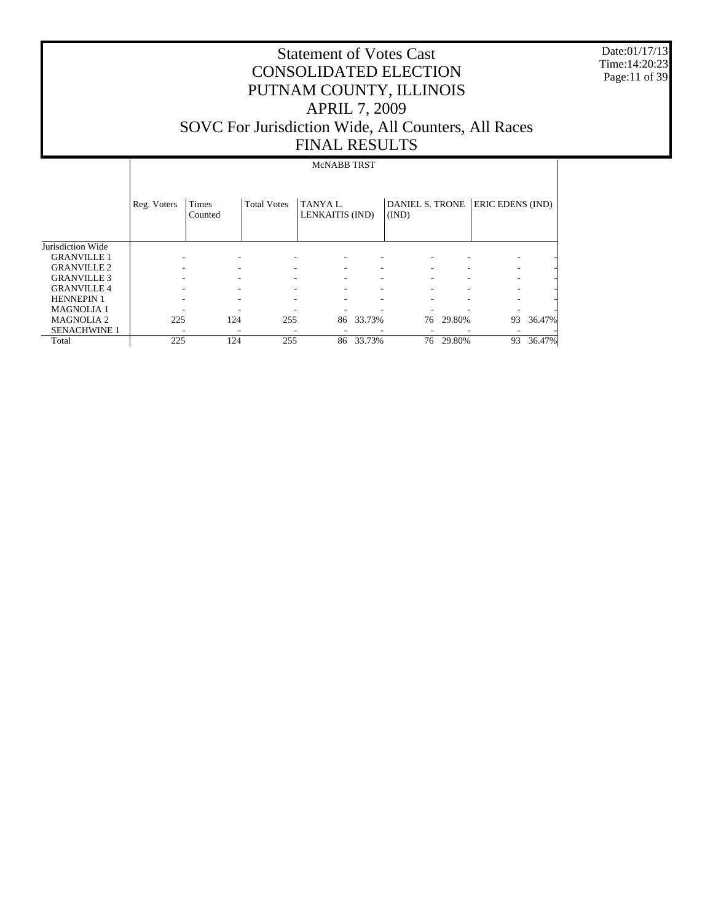Date:01/17/13 Time:14:20:23 Page:11 of 39

# Statement of Votes Cast CONSOLIDATED ELECTION PUTNAM COUNTY, ILLINOIS APRIL 7, 2009 SOVC For Jurisdiction Wide, All Counters, All Races FINAL RESULTS

#### McNABB TRST

|                     | Reg. Voters | Times<br>Counted | <b>Total Votes</b> | TANYA L.<br>LENKAITIS (IND) |        | DANIEL S. TRONE<br>(IND) |        | ERIC EDENS (IND) |        |
|---------------------|-------------|------------------|--------------------|-----------------------------|--------|--------------------------|--------|------------------|--------|
| Jurisdiction Wide   |             |                  |                    |                             |        |                          |        |                  |        |
| <b>GRANVILLE 1</b>  |             |                  |                    |                             |        |                          |        |                  |        |
| <b>GRANVILLE 2</b>  |             |                  |                    |                             |        |                          |        |                  |        |
| <b>GRANVILLE 3</b>  |             |                  |                    |                             |        |                          |        |                  |        |
| <b>GRANVILLE 4</b>  |             |                  |                    |                             | -      |                          |        |                  |        |
| <b>HENNEPIN 1</b>   |             |                  |                    |                             |        |                          |        |                  |        |
| <b>MAGNOLIA 1</b>   |             |                  |                    |                             |        |                          |        |                  |        |
| <b>MAGNOLIA2</b>    | 225         | 124              | 255                | 86                          | 33.73% | 76                       | 29.80% | 93               | 36.47% |
| <b>SENACHWINE 1</b> |             |                  |                    |                             |        |                          |        |                  |        |
| Total               | 225         | 124              | 255                | 86                          | 33.73% | 76                       | 29.80% | 93               | 36.47% |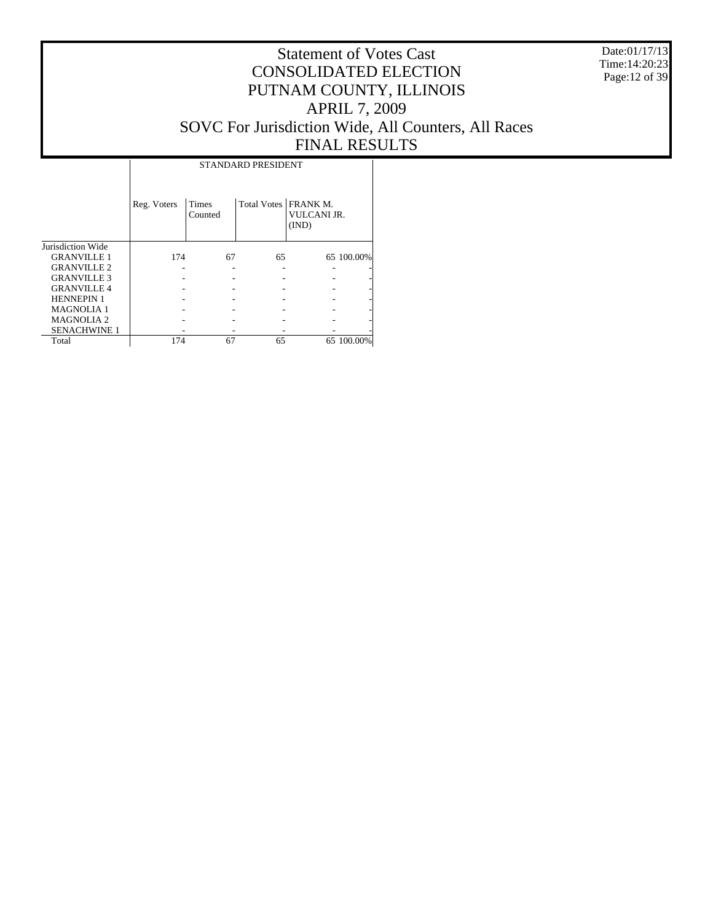Date:01/17/13 Time:14:20:23 Page:12 of 39

# Statement of Votes Cast CONSOLIDATED ELECTION PUTNAM COUNTY, ILLINOIS APRIL 7, 2009 SOVC For Jurisdiction Wide, All Counters, All Races FINAL RESULTS

Τ

|                     |             | STANDARD PRESIDENT |                        |                             |            |  |  |  |  |  |  |
|---------------------|-------------|--------------------|------------------------|-----------------------------|------------|--|--|--|--|--|--|
|                     | Reg. Voters | Times<br>Counted   | Total Votes   FRANK M. | <b>VULCANI JR.</b><br>(IND) |            |  |  |  |  |  |  |
| Jurisdiction Wide   |             |                    |                        |                             |            |  |  |  |  |  |  |
| <b>GRANVILLE 1</b>  | 174         | 67                 | 65                     |                             | 65 100.00% |  |  |  |  |  |  |
| <b>GRANVILLE 2</b>  |             |                    |                        |                             |            |  |  |  |  |  |  |
| <b>GRANVILLE 3</b>  |             |                    |                        |                             |            |  |  |  |  |  |  |
| <b>GRANVILLE4</b>   |             |                    |                        |                             |            |  |  |  |  |  |  |
| <b>HENNEPIN 1</b>   |             |                    |                        |                             |            |  |  |  |  |  |  |
| <b>MAGNOLIA1</b>    |             |                    |                        |                             |            |  |  |  |  |  |  |
| <b>MAGNOLIA2</b>    |             |                    |                        |                             |            |  |  |  |  |  |  |
| <b>SENACHWINE 1</b> |             |                    |                        |                             |            |  |  |  |  |  |  |
| Total               | 174         | 67                 | 65                     |                             | 65 100.00% |  |  |  |  |  |  |

STANDARD PRESIDENT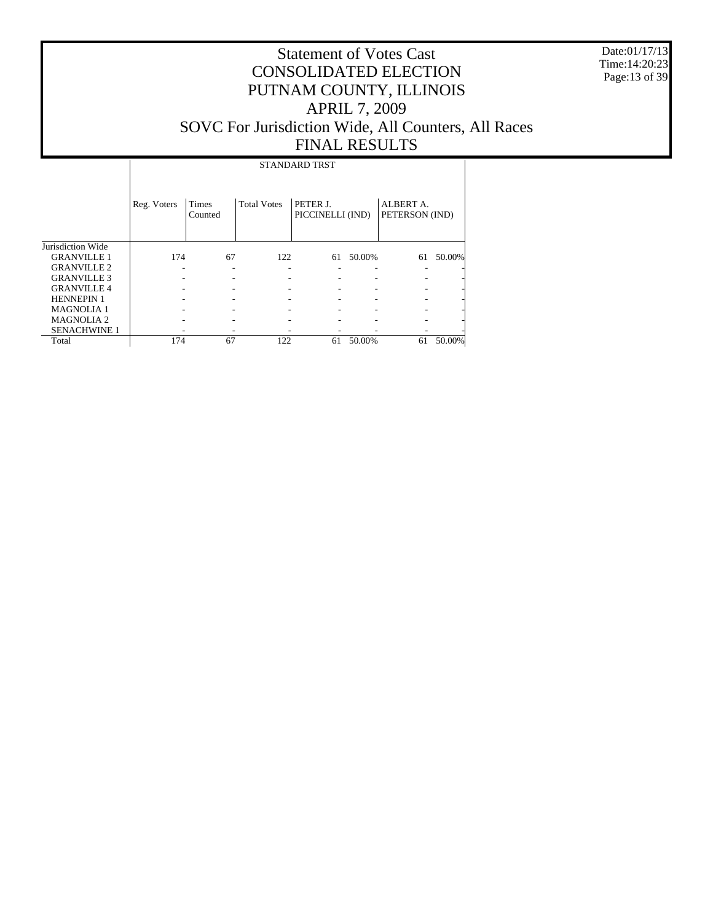Date:01/17/13 Time:14:20:23 Page:13 of 39

# Statement of Votes Cast CONSOLIDATED ELECTION PUTNAM COUNTY, ILLINOIS APRIL 7, 2009 SOVC For Jurisdiction Wide, All Counters, All Races FINAL RESULTS

STANDARD TRST

|                     | Reg. Voters | Times<br>Counted | <b>Total Votes</b> | PETER J.<br>PICCINELLI (IND) |        | ALBERT A.<br>PETERSON (IND) |        |
|---------------------|-------------|------------------|--------------------|------------------------------|--------|-----------------------------|--------|
| Jurisdiction Wide   |             |                  |                    |                              |        |                             |        |
| <b>GRANVILLE 1</b>  | 174         | 67               | 122                | 61                           | 50.00% | 61                          | 50.00% |
| <b>GRANVILLE 2</b>  |             |                  |                    |                              |        |                             | -      |
| <b>GRANVILLE 3</b>  |             |                  |                    |                              |        |                             |        |
| <b>GRANVILLE4</b>   |             |                  |                    |                              |        |                             |        |
| <b>HENNEPIN 1</b>   |             |                  |                    |                              |        |                             |        |
| <b>MAGNOLIA1</b>    |             |                  |                    |                              |        |                             |        |
| <b>MAGNOLIA 2</b>   |             |                  |                    |                              |        |                             |        |
| <b>SENACHWINE 1</b> |             |                  |                    |                              |        |                             |        |
| Total               | 174         | 67               | 122                | 61                           | 50.00% | 61                          | 50.00% |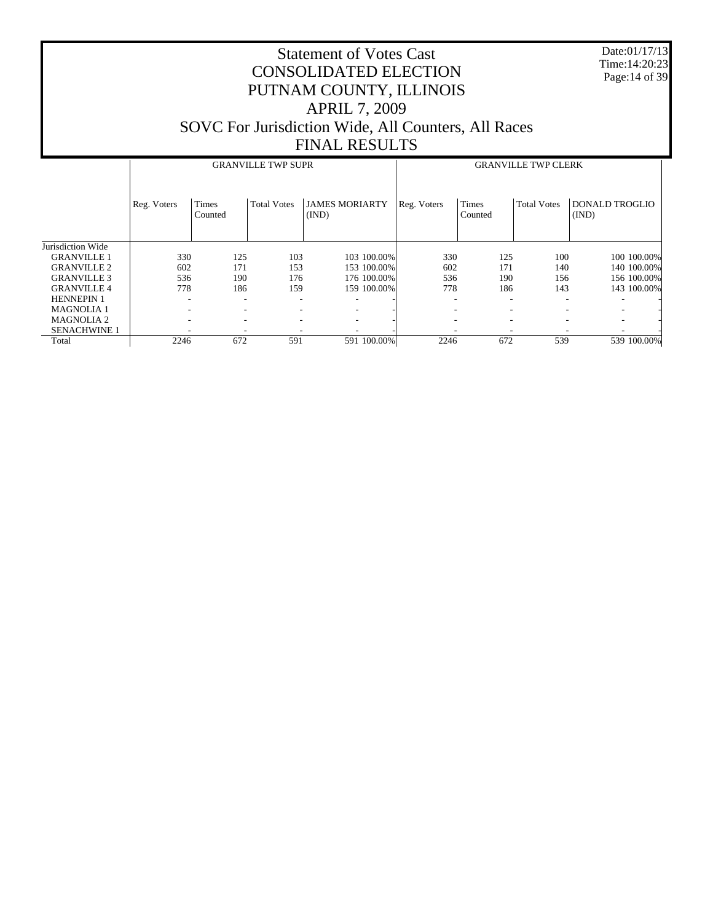Date:01/17/13 Time:14:20:23 Page:14 of 39

|                     |             |                         | <b>GRANVILLE TWP SUPR</b> |                                |             |                          | <b>GRANVILLE TWP CLERK</b> |                                |
|---------------------|-------------|-------------------------|---------------------------|--------------------------------|-------------|--------------------------|----------------------------|--------------------------------|
|                     | Reg. Voters | <b>Times</b><br>Counted | <b>Total Votes</b>        | <b>JAMES MORIARTY</b><br>(IND) | Reg. Voters | <b>Times</b><br>Counted  | <b>Total Votes</b>         | <b>DONALD TROGLIO</b><br>(IND) |
| Jurisdiction Wide   |             |                         |                           |                                |             |                          |                            |                                |
| <b>GRANVILLE 1</b>  | 330         | 125                     | 103                       | 103 100.00%                    | 330         | 125                      | 100                        | 100 100 00%                    |
| <b>GRANVILLE 2</b>  | 602         | 171                     | 153                       | 153 100.00%                    | 602         | 171                      | 140                        | 140 100.00%                    |
| <b>GRANVILLE 3</b>  | 536         | 190                     | 176                       | 176 100.00%                    | 536         | 190                      | 156                        | 156 100.00%                    |
| <b>GRANVILLE 4</b>  | 778         | 186                     | 159                       | 159 100.00%                    | 778         | 186                      | 143                        | 143 100.00%                    |
| <b>HENNEPIN 1</b>   |             | -                       |                           |                                |             | $\overline{\phantom{a}}$ |                            |                                |
| <b>MAGNOLIA1</b>    |             |                         | ۰                         |                                |             | ٠                        |                            |                                |
| <b>MAGNOLIA2</b>    |             | ۰                       | ۰                         |                                |             | $\overline{\phantom{a}}$ |                            |                                |
| <b>SENACHWINE 1</b> |             |                         |                           |                                |             | $\overline{\phantom{a}}$ |                            |                                |
| Total               | 2246        | 672                     | 591                       | 591 100.00%                    | 2246        | 672                      | 539                        | 539 100.00%                    |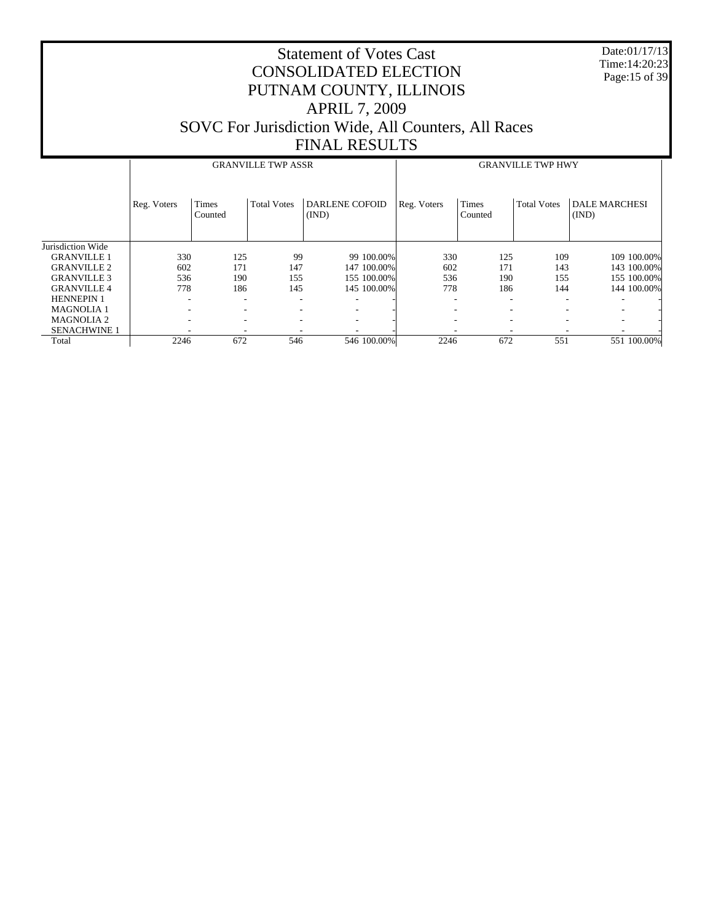Date:01/17/13 Time:14:20:23 Page:15 of 39

|                     |             |                         | <b>GRANVILLE TWP ASSR</b> |                                |             |                          | <b>GRANVILLE TWP HWY</b> |                               |
|---------------------|-------------|-------------------------|---------------------------|--------------------------------|-------------|--------------------------|--------------------------|-------------------------------|
|                     | Reg. Voters | <b>Times</b><br>Counted | <b>Total Votes</b>        | <b>DARLENE COFOID</b><br>(IND) | Reg. Voters | <b>Times</b><br>Counted  | <b>Total Votes</b>       | <b>DALE MARCHESI</b><br>(IND) |
| Jurisdiction Wide   |             |                         |                           |                                |             |                          |                          |                               |
| <b>GRANVILLE 1</b>  | 330         | 125                     | 99                        | 99 100.00%                     | 330         | 125                      | 109                      | 109 100.00%                   |
| <b>GRANVILLE 2</b>  | 602         | 171                     | 147                       | 147 100,00%                    | 602         | 171                      | 143                      | 143 100.00%                   |
| <b>GRANVILLE 3</b>  | 536         | 190                     | 155                       | 155 100,00%                    | 536         | 190                      | 155                      | 155 100.00%                   |
| <b>GRANVILLE 4</b>  | 778         | 186                     | 145                       | 145 100,00%                    | 778         | 186                      | 144                      | 144 100.00%                   |
| <b>HENNEPIN 1</b>   |             |                         |                           |                                |             | $\overline{\phantom{a}}$ |                          |                               |
| <b>MAGNOLIA1</b>    |             |                         |                           |                                |             | $\overline{\phantom{a}}$ |                          |                               |
| <b>MAGNOLIA 2</b>   |             | -                       |                           | ۰                              |             | $\overline{\phantom{a}}$ |                          |                               |
| <b>SENACHWINE 1</b> |             |                         |                           |                                |             | $\overline{\phantom{a}}$ |                          |                               |
| Total               | 2246        | 672                     | 546                       | 546 100.00%                    | 2246        | 672                      | 551                      | 551 100.00%                   |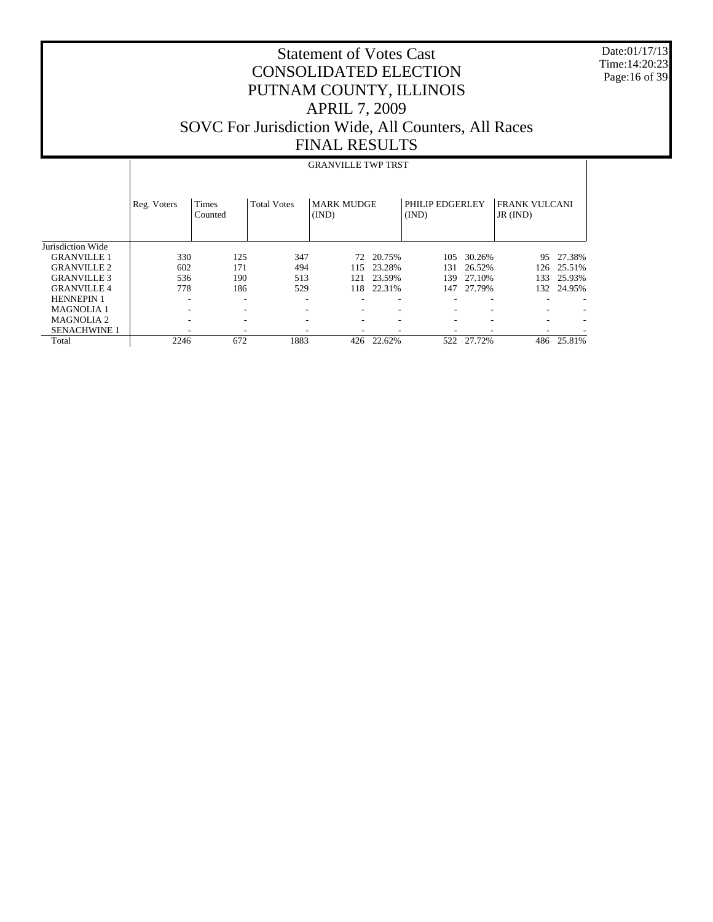Date:01/17/13 Time:14:20:23 Page:16 of 39

#### Statement of Votes Cast CONSOLIDATED ELECTION PUTNAM COUNTY, ILLINOIS APRIL 7, 2009 SOVC For Jurisdiction Wide, All Counters, All Races FINAL RESULTS

#### Jurisdiction Wide GRANVILLE 1 GRANVILLE 2 GRANVILLE 3 GRANVILLE 4 HENNEPIN 1 MAGNOLIA 1 MAGNOLIA 2 SENACHWINE 1 Total Reg. Voters | Times Counted Total Votes | MARK MUDGE (IND) PHILIP EDGERLEY (IND) FRANK VULCANI JR (IND) GRANVILLE TWP TRST 330 125 347 72 20.75% 105 30.26% 95 27.38% 602 171 494 115 23.28% 131 26.52% 126 25.51% 536 190 513 121 23.59% 139 27.10% 133 25.93% 118 22.31% -  $\sim$  -  $\sim$  -  $\sim$  -  $\sim$  -  $\sim$  -  $\sim$  -  $\sim$  -  $\sim$  -  $\sim$  -  $\sim$  -  $\sim$  -  $\sim$ -  $\sim$  -  $\sim$  -  $\sim$  -  $\sim$  -  $\sim$  -  $\sim$  -  $\sim$  -  $\sim$  -  $\sim$  -  $\sim$  -  $\sim$  -  $\sim$ -  $\sim$  -  $\sim$  -  $\sim$  -  $\sim$  -  $\sim$  -  $\sim$  -  $\sim$  -  $\sim$  -  $\sim$  -  $\sim$  -  $\sim$  -  $\sim$ - - - - - - - - - 2246 672 1883 426 22.62% 522 27.72% 486 25.81%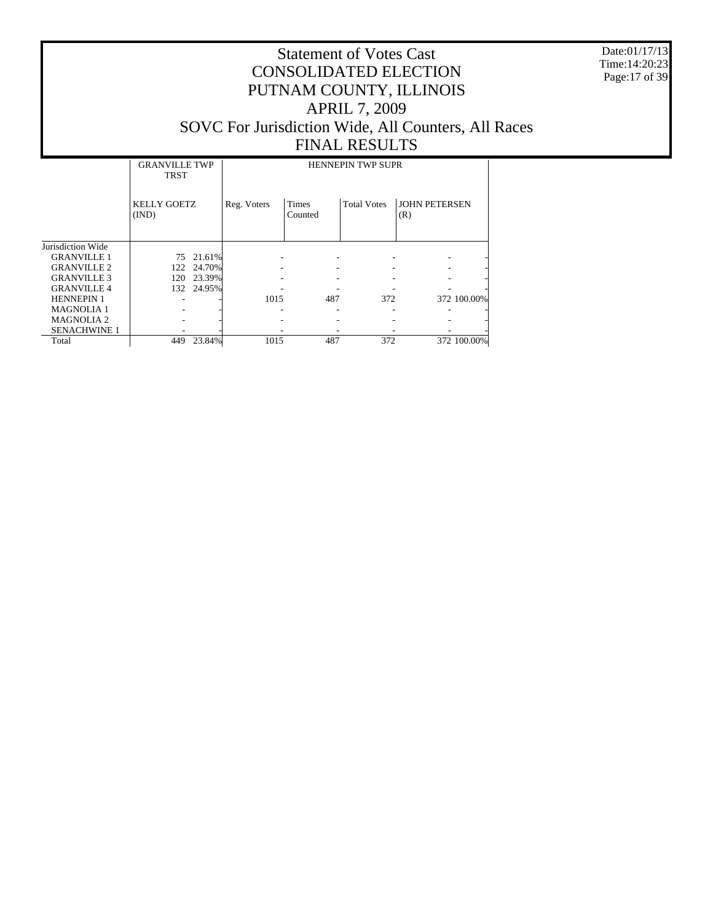Date:01/17/13 Time:14:20:23 Page:17 of 39

|                     | <b>GRANVILLE TWP</b><br><b>TRST</b> |        | <b>HENNEPIN TWP SUPR</b> |                         |                    |                             |  |  |  |
|---------------------|-------------------------------------|--------|--------------------------|-------------------------|--------------------|-----------------------------|--|--|--|
|                     | <b>KELLY GOETZ</b><br>(IND)         |        | Reg. Voters              | <b>Times</b><br>Counted | <b>Total Votes</b> | <b>JOHN PETERSEN</b><br>(R) |  |  |  |
| Jurisdiction Wide   |                                     |        |                          |                         |                    |                             |  |  |  |
| <b>GRANVILLE 1</b>  | 75                                  | 21.61% |                          |                         |                    |                             |  |  |  |
| <b>GRANVILLE 2</b>  | 122                                 | 24.70% |                          |                         |                    |                             |  |  |  |
| <b>GRANVILLE 3</b>  | 120                                 | 23.39% |                          |                         |                    |                             |  |  |  |
| <b>GRANVILLE4</b>   | 132                                 | 24.95% |                          |                         |                    |                             |  |  |  |
| <b>HENNEPIN 1</b>   |                                     |        | 1015                     | 487                     | 372                | 372 100.00%                 |  |  |  |
| <b>MAGNOLIA1</b>    |                                     |        |                          |                         |                    | ۰                           |  |  |  |
| <b>MAGNOLIA2</b>    |                                     |        |                          |                         |                    |                             |  |  |  |
| <b>SENACHWINE 1</b> |                                     |        |                          |                         |                    |                             |  |  |  |
| Total               | 449                                 | 23.84% | 1015                     | 487                     | 372                | 372 100.00%                 |  |  |  |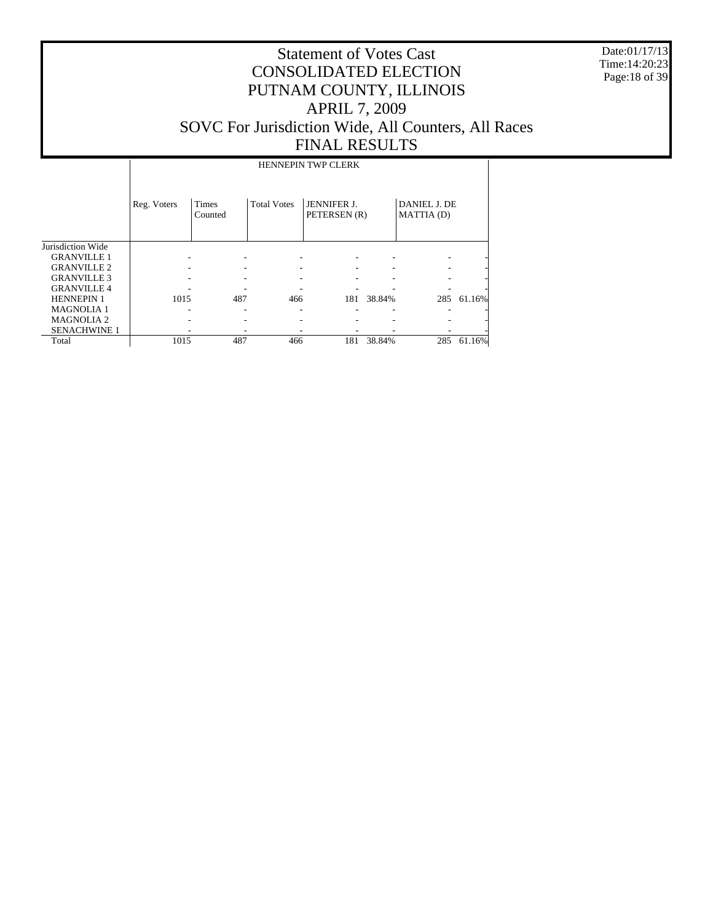Date:01/17/13 Time:14:20:23 Page:18 of 39

# Statement of Votes Cast CONSOLIDATED ELECTION PUTNAM COUNTY, ILLINOIS APRIL 7, 2009 SOVC For Jurisdiction Wide, All Counters, All Races FINAL RESULTS

HENNEPIN TWP CLERK

|                       | Reg. Voters | <b>Times</b><br>Counted | <b>Total Votes</b> | <b>JENNIFER J.</b><br>PETERSEN (R) |        | <b>DANIEL J. DE</b><br>MATTIA (D) |            |
|-----------------------|-------------|-------------------------|--------------------|------------------------------------|--------|-----------------------------------|------------|
| Jurisdiction Wide     |             |                         |                    |                                    |        |                                   |            |
| <b>GRANVILLE 1</b>    |             |                         |                    |                                    |        |                                   |            |
| <b>GRANVILLE 2</b>    |             |                         |                    |                                    |        |                                   | ۰          |
| <b>GRANVILLE 3</b>    |             |                         |                    |                                    |        |                                   | ۰          |
| <b>GRANVILLE4</b>     |             |                         |                    |                                    |        |                                   | ۰          |
| <b>HENNEPIN 1</b>     | 1015        | 487                     | 466                | 181                                | 38.84% |                                   | 285 61.16% |
| <b>MAGNOLIA1</b>      |             |                         |                    |                                    |        |                                   | ۰          |
| MAGNOLIA <sub>2</sub> |             |                         |                    |                                    |        |                                   | ۰          |
| <b>SENACHWINE 1</b>   |             |                         |                    |                                    |        |                                   | ٠          |
| Total                 | 1015        | 487                     | 466                | 181                                | 38.84% | 285                               | 61.16%     |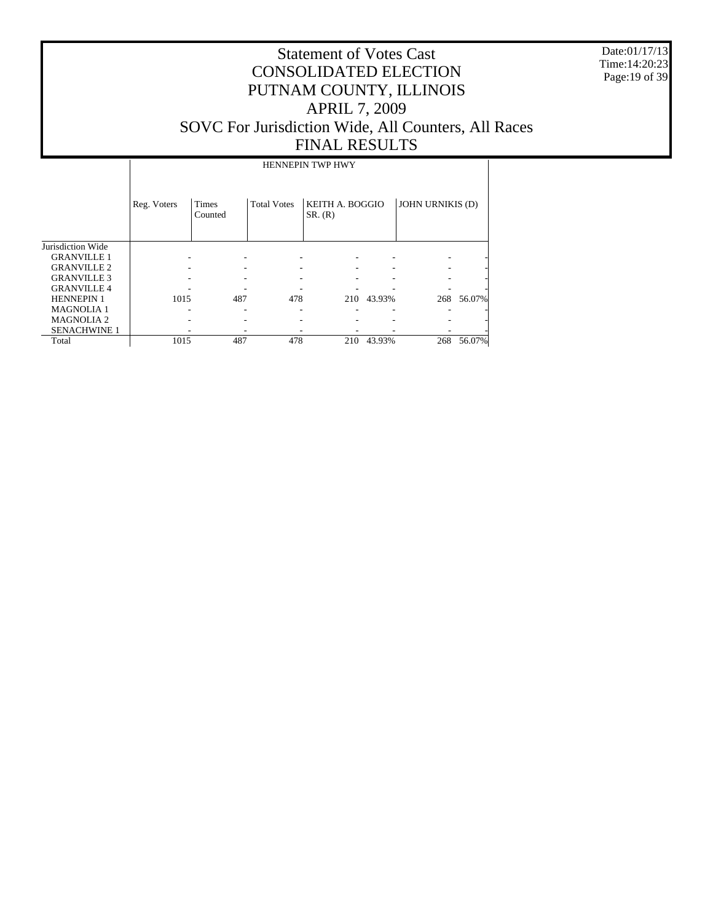Date:01/17/13 Time:14:20:23 Page:19 of 39

# Statement of Votes Cast CONSOLIDATED ELECTION PUTNAM COUNTY, ILLINOIS APRIL 7, 2009 SOVC For Jurisdiction Wide, All Counters, All Races FINAL RESULTS

HENNEPIN TWP HWY

|                     | Reg. Voters | Times<br>Counted | <b>Total Votes</b> | KEITH A. BOGGIO<br>SR. (R) |        | <b>JOHN URNIKIS (D)</b> |        |
|---------------------|-------------|------------------|--------------------|----------------------------|--------|-------------------------|--------|
| Jurisdiction Wide   |             |                  |                    |                            |        |                         |        |
| <b>GRANVILLE 1</b>  |             |                  |                    |                            |        |                         |        |
| <b>GRANVILLE 2</b>  |             |                  |                    |                            |        |                         |        |
| <b>GRANVILLE 3</b>  |             |                  |                    |                            |        |                         |        |
| <b>GRANVILLE4</b>   |             |                  |                    |                            |        |                         |        |
| <b>HENNEPIN 1</b>   | 1015        | 487              | 478                | 210                        | 43.93% | 268                     | 56.07% |
| <b>MAGNOLIA1</b>    |             |                  |                    |                            |        |                         |        |
| <b>MAGNOLIA 2</b>   |             |                  |                    |                            |        |                         |        |
| <b>SENACHWINE 1</b> |             |                  |                    |                            |        |                         |        |
| Total               | 1015        | 487              | 478                | 210                        | 43.93% | 268                     | 56.07% |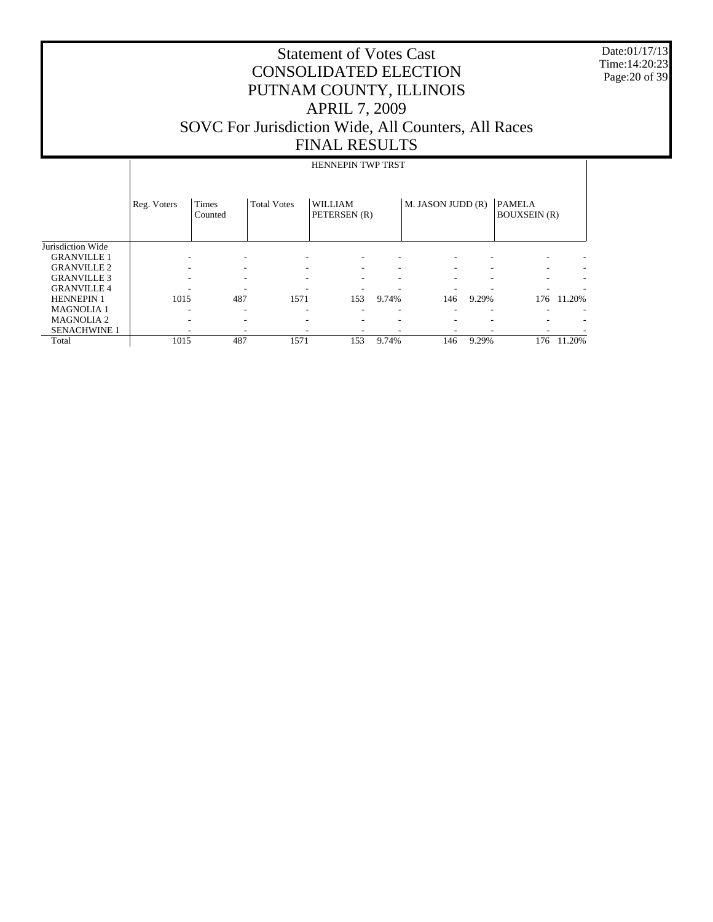Date:01/17/13 Time:14:20:23 Page:20 of 39

|                     |             |                         |                    | <b>HENNEPIN TWP TRST</b>       |       |                          |       |                                      |        |
|---------------------|-------------|-------------------------|--------------------|--------------------------------|-------|--------------------------|-------|--------------------------------------|--------|
|                     | Reg. Voters | <b>Times</b><br>Counted | <b>Total Votes</b> | <b>WILLIAM</b><br>PETERSEN (R) |       | M. JASON JUDD (R)        |       | <b>PAMELA</b><br><b>BOUXSEIN</b> (R) |        |
| Jurisdiction Wide   |             |                         |                    |                                |       |                          |       |                                      |        |
| <b>GRANVILLE 1</b>  | ۰           |                         | ٠                  |                                |       | $\overline{\phantom{a}}$ |       |                                      |        |
| <b>GRANVILLE 2</b>  |             |                         |                    |                                |       | $\overline{\phantom{a}}$ |       |                                      |        |
| <b>GRANVILLE 3</b>  |             |                         |                    |                                |       | $\overline{\phantom{a}}$ |       |                                      |        |
| <b>GRANVILLE 4</b>  |             |                         |                    |                                |       |                          |       |                                      |        |
| <b>HENNEPIN 1</b>   | 1015        | 487                     | 1571               | 153                            | 9.74% | 146                      | 9.29% | 176                                  | 11.20% |
| <b>MAGNOLIA1</b>    | ۰           |                         | ۰                  |                                |       |                          | ۰     |                                      |        |
| <b>MAGNOLIA2</b>    |             |                         | ۰                  |                                |       | $\overline{\phantom{a}}$ |       |                                      |        |
| <b>SENACHWINE 1</b> |             |                         |                    |                                |       |                          |       |                                      |        |
| Total               | 1015        | 487                     | 1571               | 153                            | 9.74% | 146                      | 9.29% | 176                                  | 11.20% |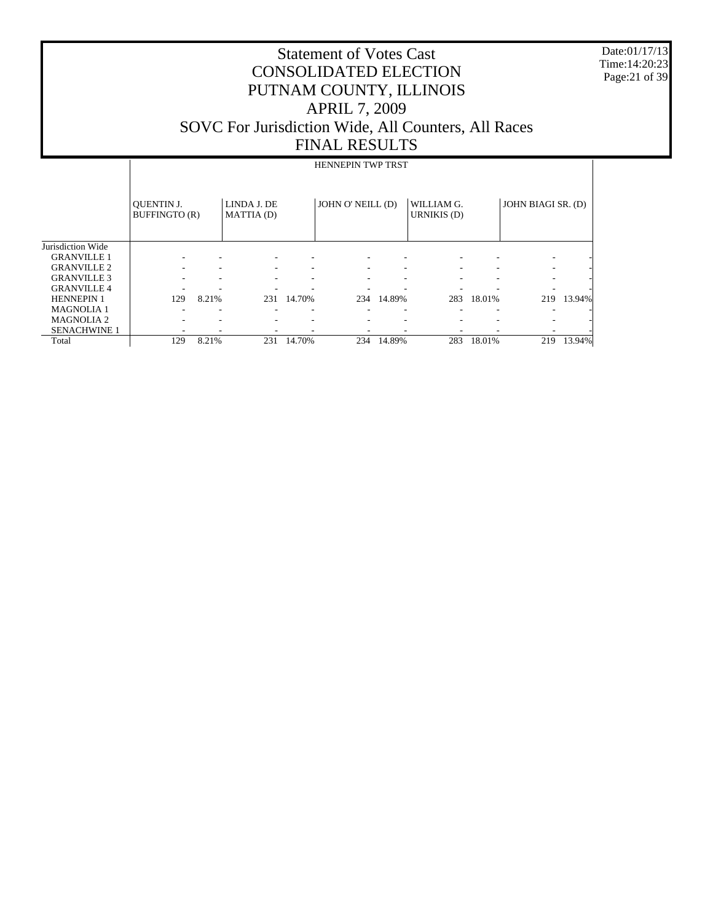Date:01/17/13 Time:14:20:23 Page:21 of 39

# Statement of Votes Cast CONSOLIDATED ELECTION PUTNAM COUNTY, ILLINOIS APRIL 7, 2009 SOVC For Jurisdiction Wide, All Counters, All Races FINAL RESULTS

#### HENNEPIN TWP TRST

|                     | <b>OUENTIN J.</b><br>BUFFINGTO (R) |                          | LINDA J. DE<br>MATTIA (D) |        | JOHN O' NEILL (D)        |        | WILLIAM G.<br><b>URNIKIS</b> (D) |        | JOHN BIAGI SR. (D) |        |
|---------------------|------------------------------------|--------------------------|---------------------------|--------|--------------------------|--------|----------------------------------|--------|--------------------|--------|
| Jurisdiction Wide   |                                    |                          |                           |        |                          |        |                                  |        |                    |        |
| <b>GRANVILLE 1</b>  |                                    | $\overline{\phantom{a}}$ |                           |        | -                        |        |                                  |        | -                  |        |
| <b>GRANVILLE 2</b>  |                                    | ۰                        |                           |        | $\overline{\phantom{a}}$ | ۰      |                                  |        | ۰.                 |        |
| <b>GRANVILLE 3</b>  |                                    | ۰                        |                           |        |                          |        |                                  |        |                    |        |
| <b>GRANVILLE 4</b>  |                                    | ۰                        |                           |        | -                        |        |                                  |        | ۰                  |        |
| <b>HENNEPIN 1</b>   | 129                                | 8.21%                    | 231                       | 14.70% | 234                      | 14.89% | 283                              | 18.01% | 219                | 13.94% |
| <b>MAGNOLIA 1</b>   |                                    | $\overline{\phantom{a}}$ |                           |        |                          |        |                                  |        |                    |        |
| <b>MAGNOLIA 2</b>   |                                    | ۰                        |                           |        | ۰                        |        |                                  |        |                    |        |
| <b>SENACHWINE 1</b> |                                    |                          |                           |        |                          |        |                                  |        |                    |        |
| Total               | 129                                | 8.21%                    | 231                       | 14.70% | 234                      | 14.89% | 283                              | 18.01% | 219                | 13.94% |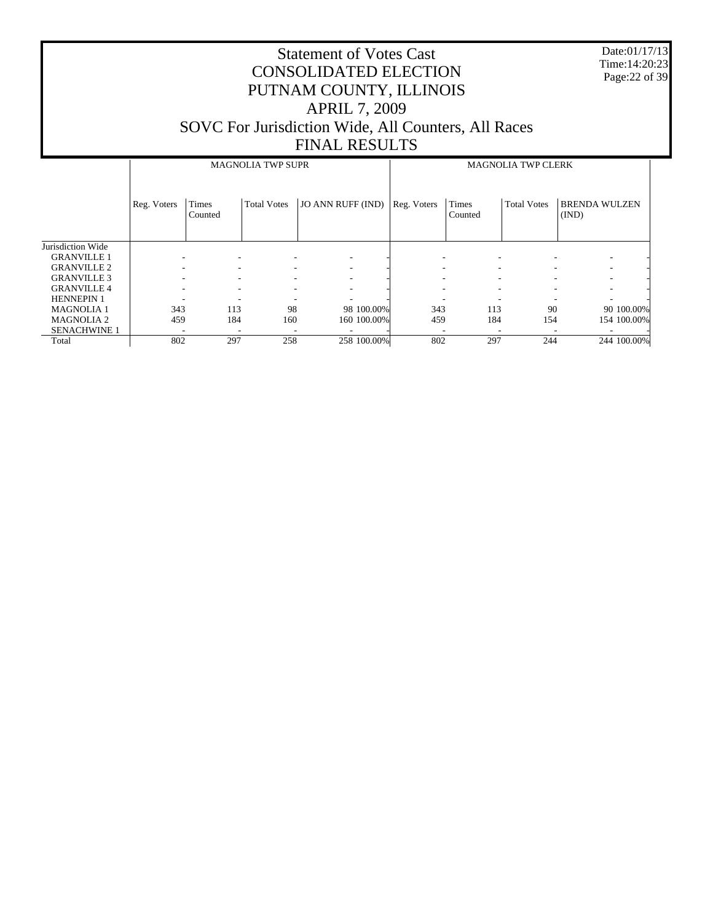Date:01/17/13 Time:14:20:23 Page:22 of 39

|                     |             |                  | <b>MAGNOLIA TWP SUPR</b> |                          |                          |                  | <b>MAGNOLIA TWP CLERK</b> |                               |             |
|---------------------|-------------|------------------|--------------------------|--------------------------|--------------------------|------------------|---------------------------|-------------------------------|-------------|
|                     | Reg. Voters | Times<br>Counted | <b>Total Votes</b>       | <b>JO ANN RUFF (IND)</b> | Reg. Voters              | Times<br>Counted | <b>Total Votes</b>        | <b>BRENDA WULZEN</b><br>(IND) |             |
| Jurisdiction Wide   |             |                  |                          |                          |                          |                  |                           |                               |             |
| <b>GRANVILLE 1</b>  |             |                  |                          |                          |                          |                  |                           |                               |             |
| <b>GRANVILLE 2</b>  |             | ٠                | -                        |                          |                          |                  |                           | ۰                             |             |
| <b>GRANVILLE 3</b>  |             | ٠                | ۰                        |                          |                          |                  |                           |                               |             |
| <b>GRANVILLE 4</b>  |             |                  |                          |                          |                          |                  |                           |                               |             |
| <b>HENNEPIN 1</b>   |             |                  |                          |                          |                          |                  |                           |                               |             |
| <b>MAGNOLIA 1</b>   | 343         | 113              | 98                       | 98 100.00%               | 343                      | 113              | 90                        |                               | 90 100.00%  |
| <b>MAGNOLIA 2</b>   | 459         | 184              | 160                      | 160 100.00%              | 459                      | 184              | 154                       |                               | 154 100.00% |
| <b>SENACHWINE 1</b> | ٠           | ٠                | -                        |                          | $\overline{\phantom{a}}$ | -                | н.                        |                               |             |
| Total               | 802         | 297              | 258                      | 258 100.00%              | 802                      | 297              | 244                       |                               | 244 100.00% |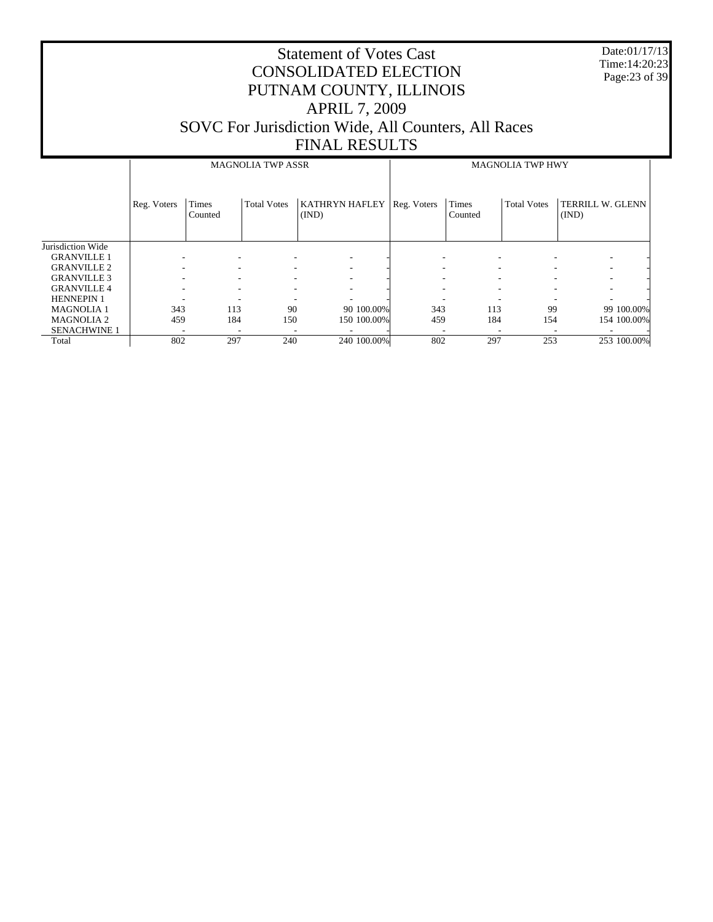Date:01/17/13 Time:14:20:23 Page:23 of 39

|                     |             |                  | <b>MAGNOLIA TWP ASSR</b> |                         |             |                  | <b>MAGNOLIA TWP HWY</b><br><b>Total Votes</b><br>TERRILL W. GLENN<br>(IND) |   |             |  |
|---------------------|-------------|------------------|--------------------------|-------------------------|-------------|------------------|----------------------------------------------------------------------------|---|-------------|--|
|                     | Reg. Voters | Times<br>Counted | <b>Total Votes</b>       | KATHRYN HAFLEY<br>(IND) | Reg. Voters | Times<br>Counted |                                                                            |   |             |  |
| Jurisdiction Wide   |             |                  |                          |                         |             |                  |                                                                            |   |             |  |
| <b>GRANVILLE 1</b>  |             |                  |                          |                         |             |                  |                                                                            |   |             |  |
| <b>GRANVILLE 2</b>  |             |                  |                          |                         |             |                  |                                                                            |   |             |  |
| <b>GRANVILLE 3</b>  |             | ۰                |                          |                         |             |                  |                                                                            |   |             |  |
| <b>GRANVILLE 4</b>  |             |                  |                          |                         |             |                  |                                                                            |   |             |  |
| <b>HENNEPIN 1</b>   |             |                  |                          |                         |             |                  |                                                                            | ۰ |             |  |
| <b>MAGNOLIA1</b>    | 343         | 113              | 90                       | 90 100.00%              | 343         | 113              | 99                                                                         |   | 99 100.00%  |  |
| <b>MAGNOLIA 2</b>   | 459         | 184              | 150                      | 150 100.00%             | 459         | 184              | 154                                                                        |   | 154 100.00% |  |
| <b>SENACHWINE 1</b> | ٠           | ٠                |                          |                         |             |                  |                                                                            |   |             |  |
| Total               | 802         | 297              | 240                      | 240 100.00%             | 802         | 297              | 253                                                                        |   | 253 100.00% |  |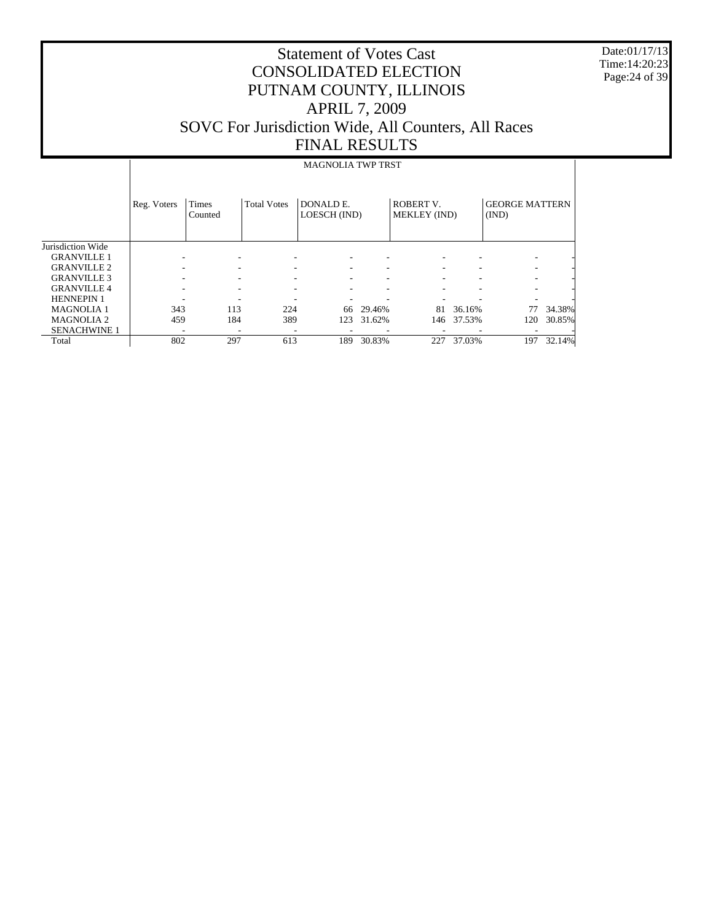Date:01/17/13 Time:14:20:23 Page:24 of 39

# Statement of Votes Cast CONSOLIDATED ELECTION PUTNAM COUNTY, ILLINOIS APRIL 7, 2009 SOVC For Jurisdiction Wide, All Counters, All Races FINAL RESULTS

#### MAGNOLIA TWP TRST

|                     | Reg. Voters | Times<br>Counted | <b>Total Votes</b> | DONALD E.<br>LOESCH (IND) |        | <b>ROBERT V.</b><br><b>MEKLEY</b> (IND) |        | <b>GEORGE MATTERN</b><br>(IND) |        |
|---------------------|-------------|------------------|--------------------|---------------------------|--------|-----------------------------------------|--------|--------------------------------|--------|
| Jurisdiction Wide   |             |                  |                    |                           |        |                                         |        |                                |        |
| <b>GRANVILLE 1</b>  |             |                  |                    |                           |        |                                         |        |                                |        |
| <b>GRANVILLE 2</b>  |             |                  |                    | ٠                         | ۰      | ۰                                       |        |                                |        |
| <b>GRANVILLE 3</b>  |             |                  |                    |                           | -      |                                         |        |                                |        |
| <b>GRANVILLE 4</b>  |             |                  |                    | ۰                         | ۰      |                                         |        |                                |        |
| <b>HENNEPIN 1</b>   |             |                  |                    |                           |        |                                         |        |                                |        |
| <b>MAGNOLIA1</b>    | 343         | 113              | 224                | 66                        | 29.46% | 81                                      | 36.16% | 77                             | 34.38% |
| <b>MAGNOLIA2</b>    | 459         | 184              | 389                | 123                       | 31.62% | 146                                     | 37.53% | 120                            | 30.85% |
| <b>SENACHWINE 1</b> |             |                  |                    |                           | -      |                                         |        |                                |        |
| Total               | 802         | 297              | 613                | 189                       | 30.83% | 227                                     | 37.03% | 197                            | 32.14% |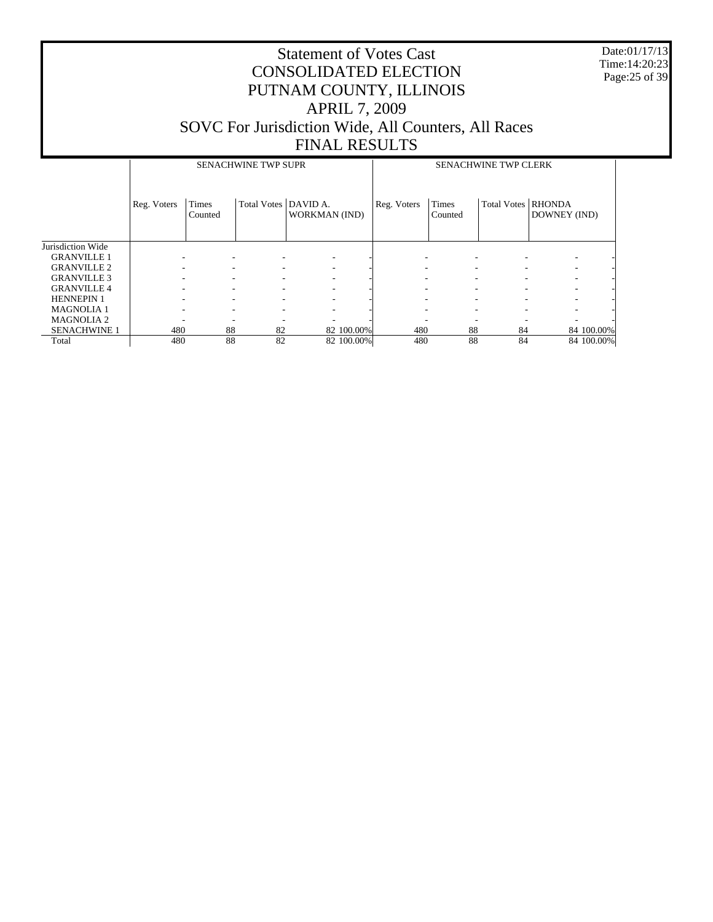Date:01/17/13 Time:14:20:23 Page:25 of 39

|                     |             |                  | <b>SENACHWINE TWP SUPR</b> |                      |             |                               | <b>SENACHWINE TWP CLERK</b> |              |            |
|---------------------|-------------|------------------|----------------------------|----------------------|-------------|-------------------------------|-----------------------------|--------------|------------|
|                     | Reg. Voters | Times<br>Counted | Total Votes   DAVID A.     | <b>WORKMAN (IND)</b> | Reg. Voters | Times<br>Counted              | Total Votes   RHONDA        | DOWNEY (IND) |            |
| Jurisdiction Wide   |             |                  |                            |                      |             |                               |                             |              |            |
| <b>GRANVILLE 1</b>  |             |                  |                            |                      |             |                               |                             |              |            |
| <b>GRANVILLE 2</b>  |             |                  |                            | ۰                    |             | ٠                             |                             |              |            |
| <b>GRANVILLE 3</b>  |             |                  |                            | ٠                    |             | $\overline{\phantom{a}}$      |                             |              |            |
| <b>GRANVILLE 4</b>  |             |                  |                            | ٠                    |             | $\overline{\phantom{a}}$<br>۰ |                             | ٠            |            |
| <b>HENNEPIN 1</b>   |             | ۰.               | ۰                          | ٠                    |             | ٠<br>۰                        | ۰.                          | ۰            |            |
| <b>MAGNOLIA1</b>    |             |                  |                            | ۰                    |             | $\overline{\phantom{a}}$      |                             | ٠            |            |
| <b>MAGNOLIA 2</b>   |             |                  |                            |                      |             |                               |                             |              |            |
| <b>SENACHWINE 1</b> | 480         | 88               | 82                         | 82 100.00%           | 480         | 88                            | 84                          |              | 84 100.00% |
| Total               | 480         | 88               | 82                         | 82 100.00%           | 480         | 88                            | 84                          |              | 84 100.00% |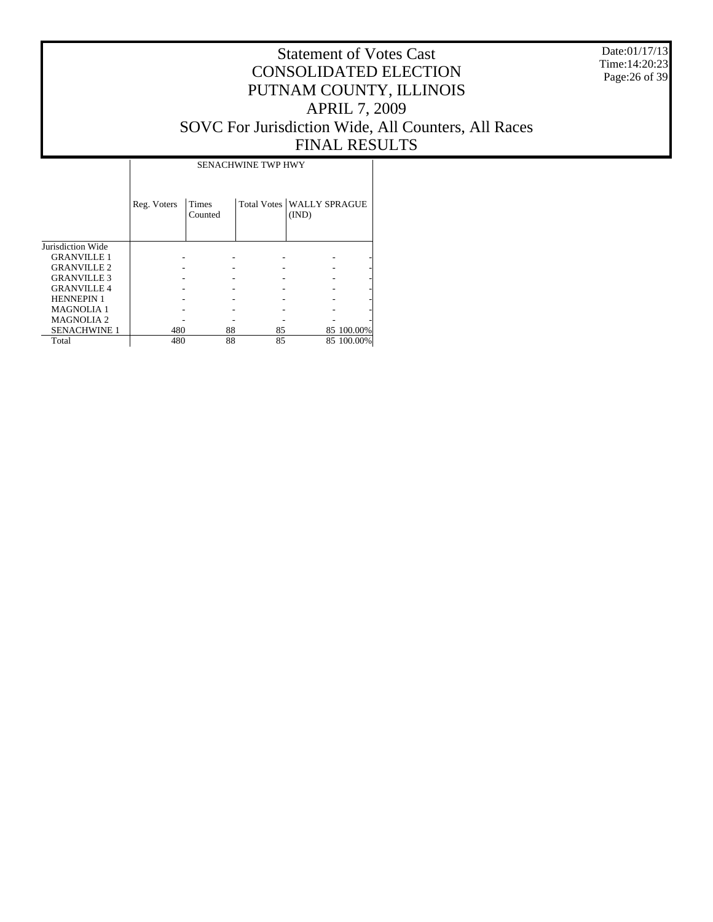Date:01/17/13 Time:14:20:23 Page:26 of 39

# Statement of Votes Cast CONSOLIDATED ELECTION PUTNAM COUNTY, ILLINOIS APRIL 7, 2009 SOVC For Jurisdiction Wide, All Counters, All Races FINAL RESULTS

|                     |             | <b>SENACHWINE TWP HWY</b> |    |                                      |            |  |  |  |  |  |  |
|---------------------|-------------|---------------------------|----|--------------------------------------|------------|--|--|--|--|--|--|
|                     | Reg. Voters | Times<br>Counted          |    | Total Votes   WALLY SPRAGUE<br>(IND) |            |  |  |  |  |  |  |
| Jurisdiction Wide   |             |                           |    |                                      |            |  |  |  |  |  |  |
| <b>GRANVILLE 1</b>  |             |                           |    |                                      |            |  |  |  |  |  |  |
| <b>GRANVILLE 2</b>  |             |                           |    |                                      |            |  |  |  |  |  |  |
| <b>GRANVILLE 3</b>  |             |                           |    |                                      |            |  |  |  |  |  |  |
| <b>GRANVILLE 4</b>  |             |                           |    |                                      |            |  |  |  |  |  |  |
| <b>HENNEPIN 1</b>   |             |                           |    |                                      |            |  |  |  |  |  |  |
| <b>MAGNOLIA1</b>    |             |                           |    |                                      |            |  |  |  |  |  |  |
| <b>MAGNOLIA2</b>    |             |                           |    |                                      |            |  |  |  |  |  |  |
| <b>SENACHWINE 1</b> | 480         | 88                        | 85 |                                      | 85 100,00% |  |  |  |  |  |  |
| Total               | 480         | 88                        | 85 |                                      | 85 100,00% |  |  |  |  |  |  |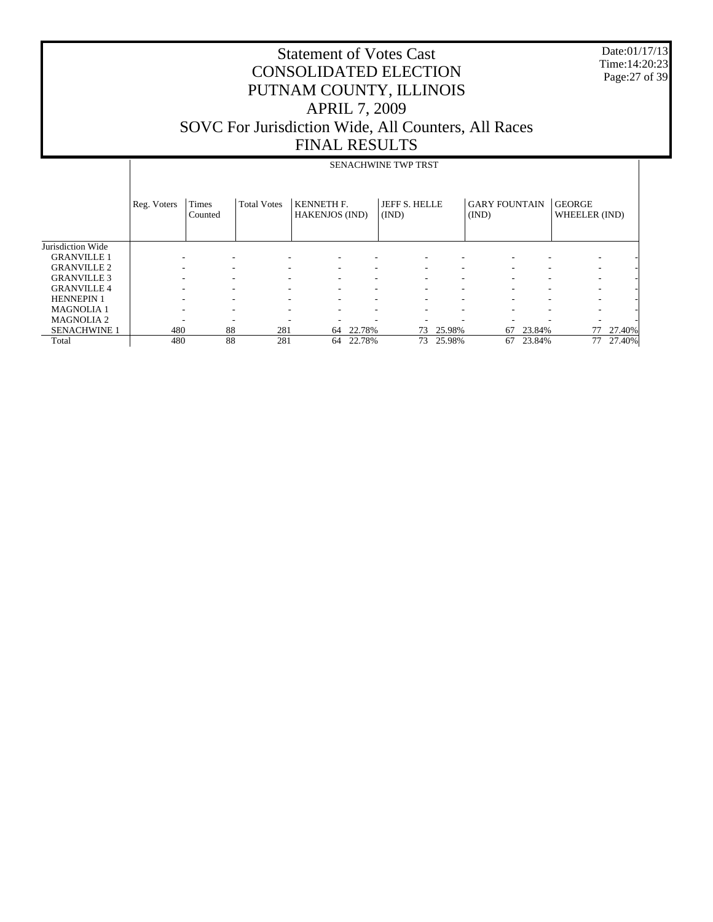Date:01/17/13 Time:14:20:23 Page:27 of 39

|                     |             | SENACHWINE TWP TRST |                    |                                            |        |                        |        |                               |        |                                |        |  |  |
|---------------------|-------------|---------------------|--------------------|--------------------------------------------|--------|------------------------|--------|-------------------------------|--------|--------------------------------|--------|--|--|
|                     | Reg. Voters | Times<br>Counted    | <b>Total Votes</b> | <b>KENNETH F.</b><br><b>HAKENJOS (IND)</b> |        | JEFF S. HELLE<br>(IND) |        | <b>GARY FOUNTAIN</b><br>(IND) |        | <b>GEORGE</b><br>WHEELER (IND) |        |  |  |
| Jurisdiction Wide   |             |                     |                    |                                            |        |                        |        |                               |        |                                |        |  |  |
| <b>GRANVILLE 1</b>  |             |                     |                    |                                            |        |                        |        |                               |        | ۰                              |        |  |  |
| <b>GRANVILLE 2</b>  |             |                     |                    | ۰                                          |        | Ξ.                     | ۰      |                               |        | ۰                              |        |  |  |
| <b>GRANVILLE 3</b>  |             |                     |                    |                                            |        |                        | ۰      |                               |        | ۰                              |        |  |  |
| <b>GRANVILLE 4</b>  |             |                     |                    |                                            |        |                        |        |                               |        |                                |        |  |  |
| <b>HENNEPIN 1</b>   |             |                     |                    |                                            |        |                        | ۰      |                               |        |                                |        |  |  |
| <b>MAGNOLIA1</b>    |             |                     | -                  |                                            |        |                        | ۰      |                               |        | ۰                              |        |  |  |
| <b>MAGNOLIA2</b>    | ۰           |                     |                    |                                            |        |                        | ۰      |                               |        | ۰                              |        |  |  |
| <b>SENACHWINE 1</b> | 480         | 88                  | 281                | 64                                         | 22.78% | 73                     | 25.98% | 67                            | 23.84% | 77                             | 27.40% |  |  |
| Total               | 480         | 88                  | 281                | 64                                         | 22.78% | 73                     | 25.98% | 67                            | 23.84% | 77                             | 27.40% |  |  |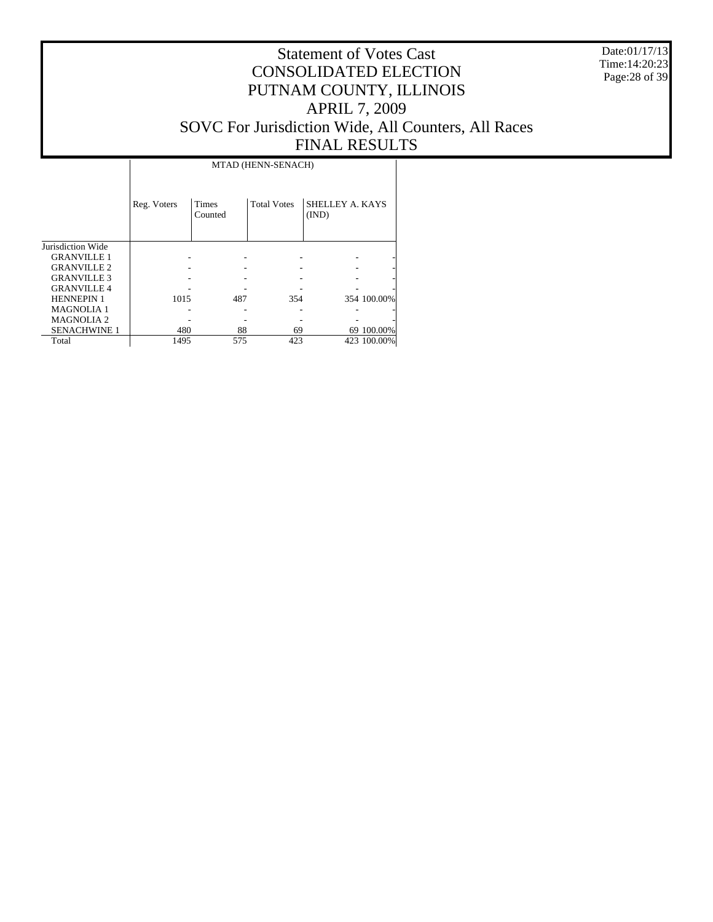Date:01/17/13 Time:14:20:23 Page:28 of 39

|                     | MTAD (HENN-SENACH) |                         |                    |                          |             |  |  |  |  |  |  |  |
|---------------------|--------------------|-------------------------|--------------------|--------------------------|-------------|--|--|--|--|--|--|--|
|                     | Reg. Voters        | <b>Times</b><br>Counted | <b>Total Votes</b> | SHELLEY A. KAYS<br>(IND) |             |  |  |  |  |  |  |  |
| Jurisdiction Wide   |                    |                         |                    |                          |             |  |  |  |  |  |  |  |
| <b>GRANVILLE 1</b>  |                    |                         |                    |                          |             |  |  |  |  |  |  |  |
| <b>GRANVILLE 2</b>  |                    |                         |                    |                          |             |  |  |  |  |  |  |  |
| <b>GRANVILLE 3</b>  |                    |                         |                    |                          |             |  |  |  |  |  |  |  |
| <b>GRANVILLE 4</b>  |                    |                         |                    |                          |             |  |  |  |  |  |  |  |
| <b>HENNEPIN 1</b>   | 1015               | 487                     | 354                |                          | 354 100.00% |  |  |  |  |  |  |  |
| <b>MAGNOLIA1</b>    |                    |                         |                    |                          |             |  |  |  |  |  |  |  |
| <b>MAGNOLIA2</b>    |                    |                         |                    |                          |             |  |  |  |  |  |  |  |
| <b>SENACHWINE 1</b> | 480                | 88                      | 69                 |                          | 69 100.00%  |  |  |  |  |  |  |  |
| Total               | 1495               | 575                     | 423                |                          | 423 100.00% |  |  |  |  |  |  |  |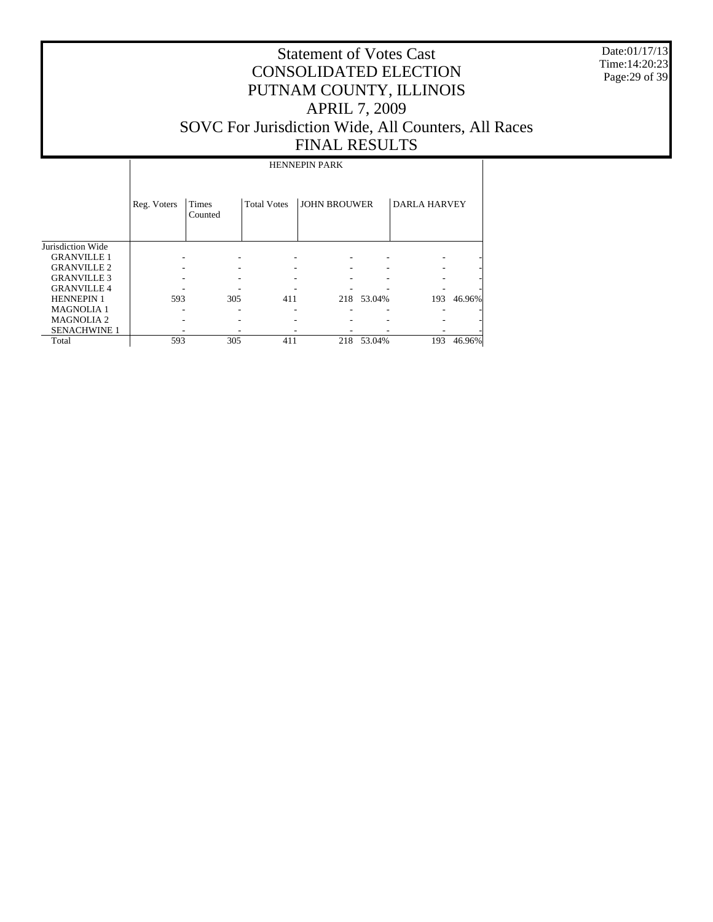Date:01/17/13 Time:14:20:23 Page:29 of 39

# Statement of Votes Cast CONSOLIDATED ELECTION PUTNAM COUNTY, ILLINOIS APRIL 7, 2009 SOVC For Jurisdiction Wide, All Counters, All Races FINAL RESULTS

HENNEPIN PARK

|                     | Reg. Voters | Times<br>Counted | <b>Total Votes</b> | <b>JOHN BROUWER</b> |        | <b>DARLA HARVEY</b> |        |
|---------------------|-------------|------------------|--------------------|---------------------|--------|---------------------|--------|
| Jurisdiction Wide   |             |                  |                    |                     |        |                     |        |
| <b>GRANVILLE 1</b>  |             |                  |                    |                     |        |                     |        |
| <b>GRANVILLE 2</b>  |             |                  |                    |                     |        |                     |        |
| <b>GRANVILLE 3</b>  |             |                  |                    |                     |        |                     |        |
| <b>GRANVILLE4</b>   |             |                  |                    |                     |        |                     |        |
| <b>HENNEPIN1</b>    | 593         | 305              | 411                | 218                 | 53.04% | 193                 | 46.96% |
| <b>MAGNOLIA1</b>    |             |                  |                    |                     |        |                     |        |
| <b>MAGNOLIA2</b>    |             |                  |                    |                     |        |                     |        |
| <b>SENACHWINE 1</b> |             |                  |                    |                     |        |                     |        |
| Total               | 593         | 305              | 411                | 218                 | 53.04% | 193                 | 46.96% |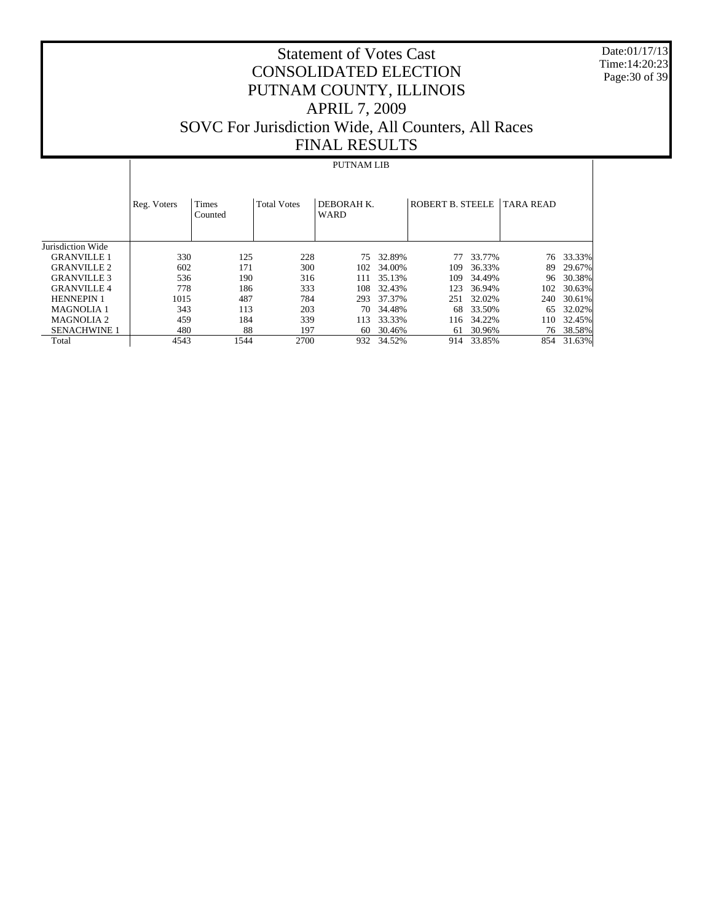Date:01/17/13 Time:14:20:23 Page:30 of 39

# Statement of Votes Cast CONSOLIDATED ELECTION PUTNAM COUNTY, ILLINOIS APRIL 7, 2009 SOVC For Jurisdiction Wide, All Counters, All Races FINAL RESULTS

#### PUTNAM LIB

|                     | Reg. Voters | <b>Times</b><br>Counted | <b>Total Votes</b> | DEBORAH K.<br><b>WARD</b> |        | ROBERT B. STEELE |        | <b>TARA READ</b> |        |
|---------------------|-------------|-------------------------|--------------------|---------------------------|--------|------------------|--------|------------------|--------|
| Jurisdiction Wide   |             |                         |                    |                           |        |                  |        |                  |        |
| <b>GRANVILLE 1</b>  | 330         | 125                     | 228                | 75                        | 32.89% | 77               | 33.77% | 76               | 33.33% |
| <b>GRANVILLE 2</b>  | 602         | 171                     | 300                | 102                       | 34.00% | 109              | 36.33% | 89               | 29.67% |
| <b>GRANVILLE 3</b>  | 536         | 190                     | 316                | 111                       | 35.13% | 109              | 34.49% | 96               | 30.38% |
| <b>GRANVILLE4</b>   | 778         | 186                     | 333                | 108                       | 32.43% | 123              | 36.94% | 102              | 30.63% |
| <b>HENNEPIN 1</b>   | 1015        | 487                     | 784                | 293                       | 37.37% | 251              | 32.02% | 240              | 30.61% |
| <b>MAGNOLIA 1</b>   | 343         | 113                     | 203                | 70                        | 34.48% | 68               | 33.50% | 65               | 32.02% |
| <b>MAGNOLIA 2</b>   | 459         | 184                     | 339                | 113                       | 33.33% | 116              | 34.22% | 110              | 32.45% |
| <b>SENACHWINE 1</b> | 480         | 88                      | 197                | 60                        | 30.46% | 61               | 30.96% | 76               | 38.58% |
| Total               | 4543        | 1544                    | 2700               | 932                       | 34.52% | 914              | 33.85% | 854              | 31.63% |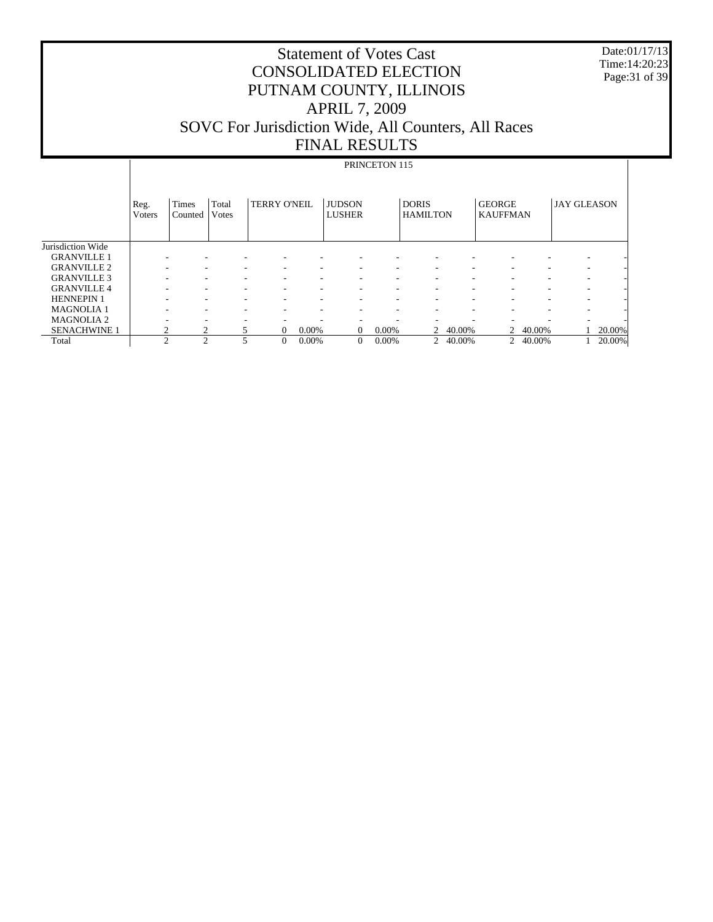Date:01/17/13 Time:14:20:23 Page:31 of 39

# Statement of Votes Cast CONSOLIDATED ELECTION PUTNAM COUNTY, ILLINOIS APRIL 7, 2009 SOVC For Jurisdiction Wide, All Counters, All Races FINAL RESULTS

# PRINCETON 115

|                     | Reg.<br><b>V</b> oters | <b>Times</b><br>Counted | Total<br>Votes | <b>TERRY O'NEIL</b> |       | <b>JUDSON</b><br><b>LUSHER</b> |          | <b>DORIS</b><br><b>HAMILTON</b> |        | <b>GEORGE</b><br><b>KAUFFMAN</b> |        | <b>JAY GLEASON</b> |        |
|---------------------|------------------------|-------------------------|----------------|---------------------|-------|--------------------------------|----------|---------------------------------|--------|----------------------------------|--------|--------------------|--------|
| Jurisdiction Wide   |                        |                         |                |                     |       |                                |          |                                 |        |                                  |        |                    |        |
| <b>GRANVILLE 1</b>  |                        |                         |                |                     |       |                                | ۰        | ۰                               |        |                                  |        |                    |        |
| <b>GRANVILLE 2</b>  |                        |                         |                |                     |       |                                |          | ۰                               |        |                                  |        |                    |        |
| <b>GRANVILLE 3</b>  | ۰                      | ۰                       |                | -<br>۰              |       |                                | ٠        | ۰                               |        |                                  |        | -                  |        |
| <b>GRANVILLE 4</b>  | ۰.                     | ۰                       |                | ۰<br>۰              |       |                                |          | ۰                               |        | ۰                                |        | ۰                  |        |
| <b>HENNEPIN 1</b>   |                        |                         |                |                     |       |                                |          | ۰.                              |        |                                  |        |                    |        |
| <b>MAGNOLIA1</b>    | -                      | ۰                       |                | ۰<br>۰              |       |                                | ۰        | ۰                               | -      |                                  |        | -                  |        |
| <b>MAGNOLIA 2</b>   | ۰                      | ۰                       |                |                     |       |                                |          |                                 |        |                                  |        |                    |        |
| <b>SENACHWINE 1</b> | 2                      |                         |                | 0                   | 0.00% | $\Omega$                       | $0.00\%$ | 2                               | 40.00% | 2                                | 40.00% |                    | 20.00% |
| Total               | $\mathcal{L}$          | ↑                       |                | $\Omega$            | 0.00% | $\Omega$                       | $0.00\%$ | $\overline{2}$                  | 40.00% | $\overline{2}$                   | 40.00% |                    | 20.00% |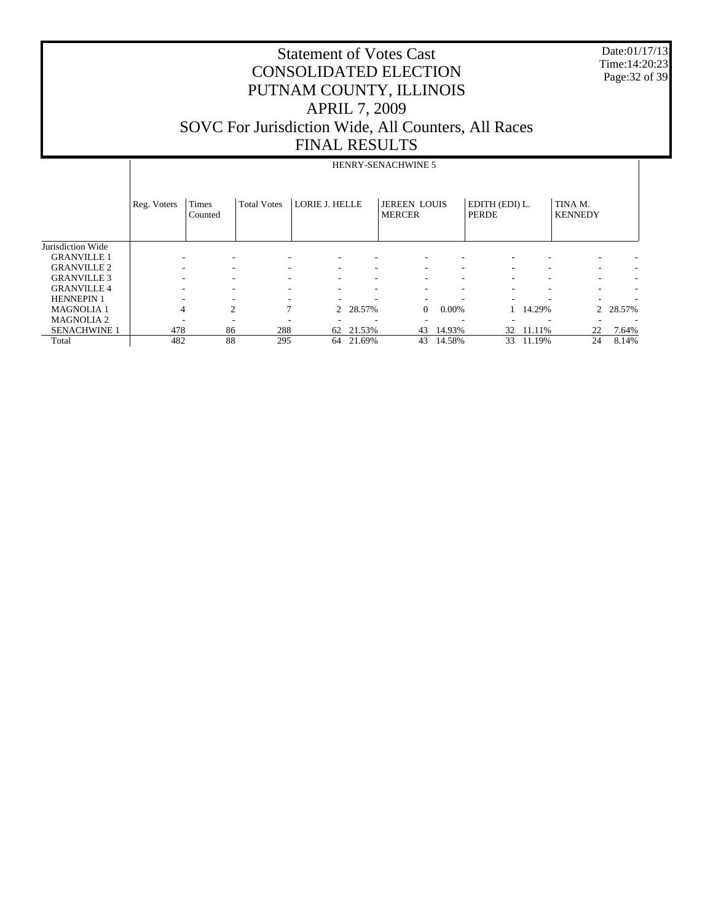Date:01/17/13 Time:14:20:23 Page:32 of 39

|                     |             | HENRY-SENACHWINE 5 |                    |                       |          |                                      |                          |                                |        |                           |        |  |
|---------------------|-------------|--------------------|--------------------|-----------------------|----------|--------------------------------------|--------------------------|--------------------------------|--------|---------------------------|--------|--|
|                     | Reg. Voters | Times<br>Counted   | <b>Total Votes</b> | <b>LORIE J. HELLE</b> |          | <b>JEREEN LOUIS</b><br><b>MERCER</b> |                          | EDITH (EDI) L.<br><b>PERDE</b> |        | TINA M.<br><b>KENNEDY</b> |        |  |
| Jurisdiction Wide   |             |                    |                    |                       |          |                                      |                          |                                |        |                           |        |  |
| <b>GRANVILLE 1</b>  |             |                    |                    |                       |          |                                      |                          |                                |        | $\overline{\phantom{a}}$  |        |  |
| <b>GRANVILLE 2</b>  |             | -                  |                    | ۰                     |          | $\overline{\phantom{a}}$             | ۰                        |                                |        | $\overline{\phantom{a}}$  |        |  |
| <b>GRANVILLE 3</b>  |             |                    |                    |                       |          |                                      | ۰                        |                                |        | ۰                         |        |  |
| <b>GRANVILLE 4</b>  |             |                    |                    |                       |          |                                      | $\overline{\phantom{a}}$ |                                |        | ۰                         |        |  |
| <b>HENNEPIN 1</b>   |             |                    |                    |                       |          |                                      |                          |                                |        |                           |        |  |
| <b>MAGNOLIA1</b>    |             | 2<br>4             | 7                  |                       | 2 28.57% | $\Omega$                             | $0.00\%$                 |                                | 14.29% | 2                         | 28.57% |  |
| <b>MAGNOLIA2</b>    |             |                    |                    |                       |          |                                      | $\overline{\phantom{a}}$ |                                |        |                           |        |  |
| <b>SENACHWINE 1</b> | 478         | 86                 | 288                | 62                    | 21.53%   | 43                                   | 14.93%                   | 32                             | 11.11% | 22                        | 7.64%  |  |
| Total               | 482         | 88                 | 295                | 64                    | 21.69%   | 43                                   | 14.58%                   | 33                             | 11.19% | 24                        | 8.14%  |  |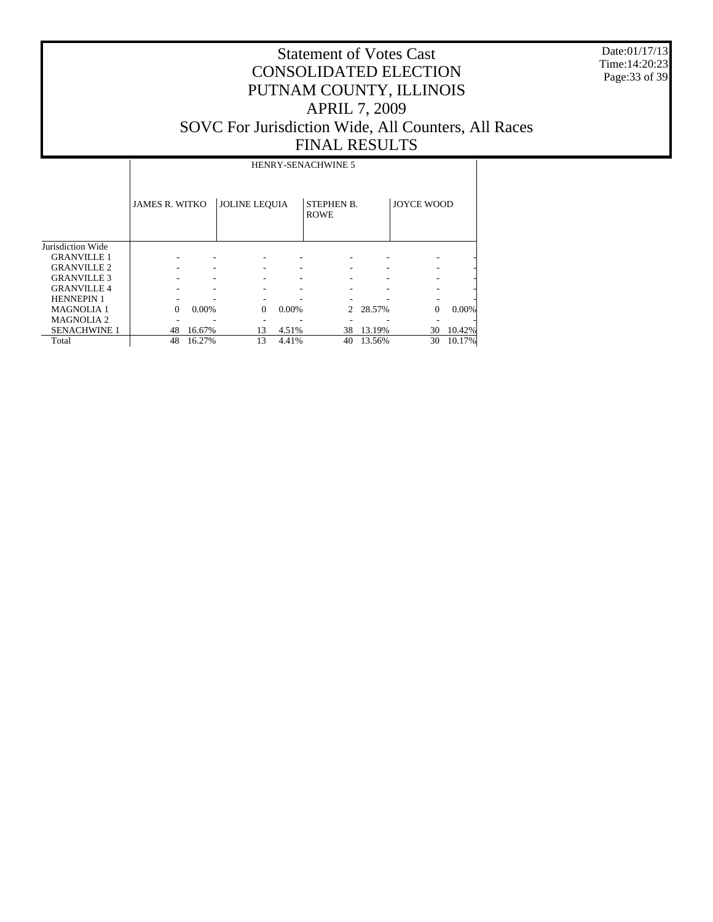Date:01/17/13 Time:14:20:23 Page:33 of 39

# Statement of Votes Cast CONSOLIDATED ELECTION PUTNAM COUNTY, ILLINOIS APRIL 7, 2009 SOVC For Jurisdiction Wide, All Counters, All Races FINAL RESULTS

HENRY-SENACHWINE 5

|                     | <b>JAMES R. WITKO</b> |        | <b>JOLINE LEQUIA</b> |          | <b>STEPHEN B.</b><br><b>ROWE</b> |          | <b>JOYCE WOOD</b> |        |
|---------------------|-----------------------|--------|----------------------|----------|----------------------------------|----------|-------------------|--------|
| Jurisdiction Wide   |                       |        |                      |          |                                  |          |                   |        |
| <b>GRANVILLE 1</b>  |                       |        |                      |          |                                  |          |                   |        |
| <b>GRANVILLE 2</b>  |                       |        |                      |          |                                  |          |                   |        |
| <b>GRANVILLE 3</b>  |                       |        |                      |          |                                  |          |                   |        |
| <b>GRANVILLE 4</b>  |                       |        |                      |          |                                  |          |                   |        |
| <b>HENNEPIN 1</b>   |                       |        |                      |          |                                  |          |                   |        |
| <b>MAGNOLIA 1</b>   | $\Omega$              | 0.00%  | $\Omega$             | $0.00\%$ |                                  | 2 28.57% | $\theta$          | 0.00%  |
| <b>MAGNOLIA2</b>    |                       |        |                      |          |                                  |          |                   |        |
| <b>SENACHWINE 1</b> | 48                    | 16.67% | 13                   | 4.51%    | 38                               | 13.19%   | 30                | 10.42% |
| Total               | 48                    | 16.27% | 13                   | 4.41%    | 40                               | 13.56%   | 30                | 10.17% |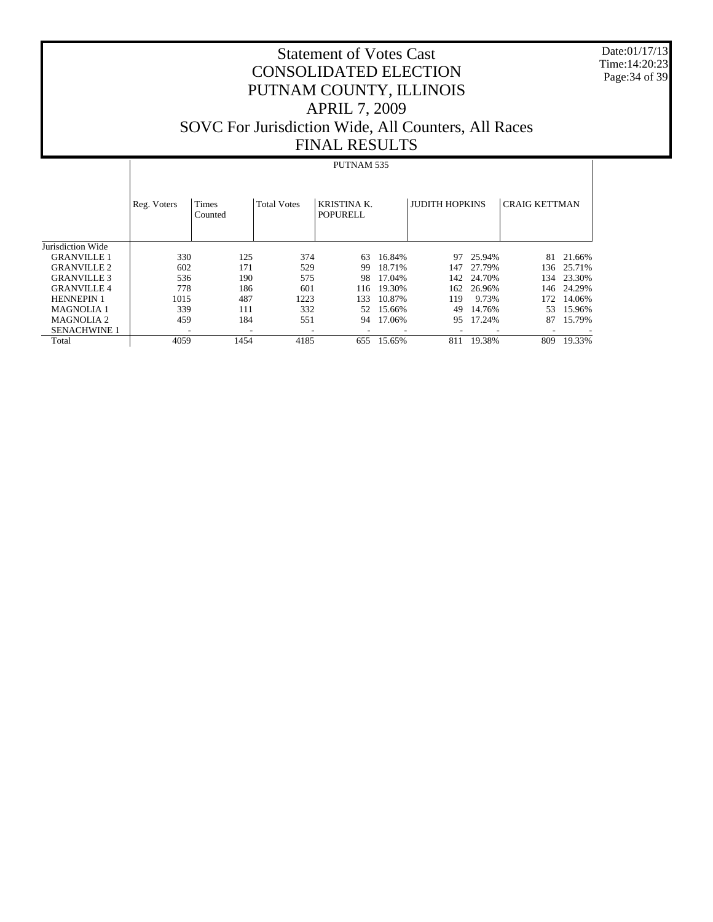Date:01/17/13 Time:14:20:23 Page:34 of 39

# Statement of Votes Cast CONSOLIDATED ELECTION PUTNAM COUNTY, ILLINOIS APRIL 7, 2009 SOVC For Jurisdiction Wide, All Counters, All Races FINAL RESULTS

#### PUTNAM 535

|                     | Reg. Voters | <b>Times</b><br>Counted | <b>Total Votes</b> | <b>KRISTINA K.</b><br>POPURELL |        | <b>JUDITH HOPKINS</b> |            | <b>CRAIG KETTMAN</b> |        |
|---------------------|-------------|-------------------------|--------------------|--------------------------------|--------|-----------------------|------------|----------------------|--------|
| Jurisdiction Wide   |             |                         |                    |                                |        |                       |            |                      |        |
| <b>GRANVILLE 1</b>  | 330         | 125                     | 374                | 63                             | 16.84% | 97                    | 25.94%     | 81                   | 21.66% |
| <b>GRANVILLE 2</b>  | 602         | 171                     | 529                | 99                             | 18.71% | 147                   | 27.79%     | 136                  | 25.71% |
| <b>GRANVILLE 3</b>  | 536         | 190                     | 575                | 98                             | 17.04% |                       | 142 24.70% | 134                  | 23.30% |
| <b>GRANVILLE4</b>   | 778         | 186                     | 601                | 116                            | 19.30% | 162                   | 26.96%     | 146                  | 24.29% |
| <b>HENNEPIN 1</b>   | 1015        | 487                     | 1223               | 133                            | 10.87% | 119                   | 9.73%      | 172                  | 14.06% |
| <b>MAGNOLIA 1</b>   | 339         | 111                     | 332                | 52                             | 15.66% | 49                    | 14.76%     | 53                   | 15.96% |
| <b>MAGNOLIA2</b>    | 459         | 184                     | 551                | 94                             | 17.06% | 95                    | 17.24%     | 87                   | 15.79% |
| <b>SENACHWINE 1</b> | ۰           | -                       | -                  | $\overline{\phantom{a}}$       | ٠      |                       |            | ۰                    |        |
| Total               | 4059        | 1454                    | 4185               | 655                            | 15.65% | 811                   | 19.38%     | 809                  | 19.33% |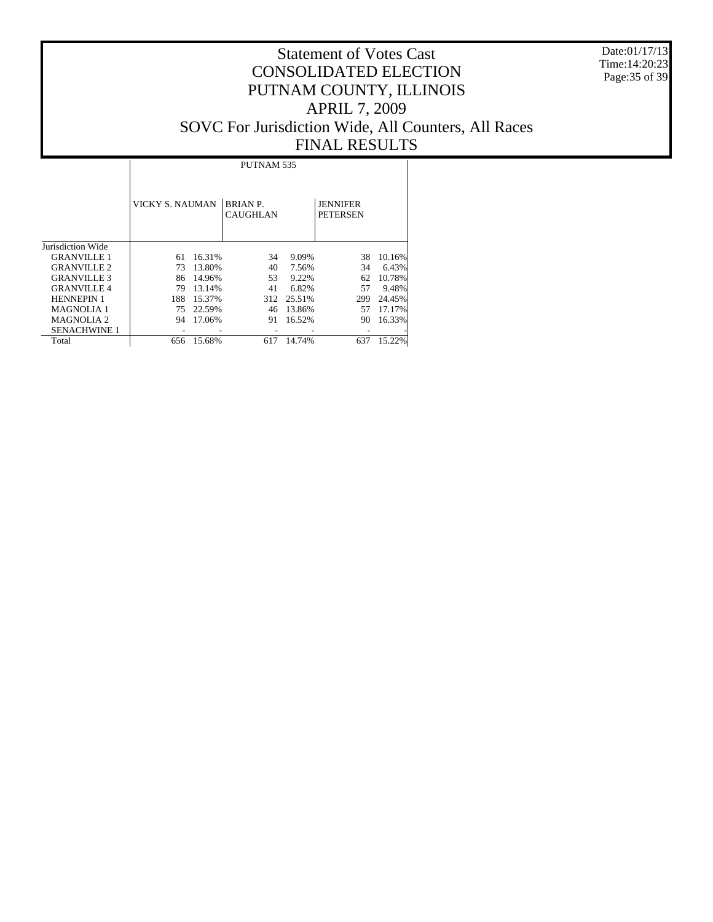Date:01/17/13 Time:14:20:23 Page:35 of 39

|                     |                 | PUTNAM <sub>535</sub> |                                    |        |                                    |        |  |  |  |  |  |  |
|---------------------|-----------------|-----------------------|------------------------------------|--------|------------------------------------|--------|--|--|--|--|--|--|
|                     | VICKY S. NAUMAN |                       | <b>BRIAN P.</b><br><b>CAUGHLAN</b> |        | <b>JENNIFER</b><br><b>PETERSEN</b> |        |  |  |  |  |  |  |
| Jurisdiction Wide   |                 |                       |                                    |        |                                    |        |  |  |  |  |  |  |
| <b>GRANVILLE 1</b>  | 61              | 16.31%                | 34                                 | 9.09%  | 38                                 | 10.16% |  |  |  |  |  |  |
| <b>GRANVILLE 2</b>  | 73              | 13.80%                | 40                                 | 7.56%  | 34                                 | 6.43%  |  |  |  |  |  |  |
| <b>GRANVILLE 3</b>  | 86              | 14.96%                | 53                                 | 9.22%  | 62                                 | 10.78% |  |  |  |  |  |  |
| <b>GRANVILLE 4</b>  | 79              | 13.14%                | 41                                 | 6.82%  | 57                                 | 9.48%  |  |  |  |  |  |  |
| <b>HENNEPIN 1</b>   | 188             | 15.37%                | 312                                | 25.51% | 299                                | 24.45% |  |  |  |  |  |  |
| <b>MAGNOLIA1</b>    | 75              | 22.59%                | 46                                 | 13.86% | 57                                 | 17.17% |  |  |  |  |  |  |
| <b>MAGNOLIA 2</b>   | 94              | 17.06%                | 91                                 | 16.52% | 90                                 | 16.33% |  |  |  |  |  |  |
| <b>SENACHWINE 1</b> |                 |                       |                                    |        |                                    |        |  |  |  |  |  |  |
| Total               | 656             | 15.68%                | 617                                | 14.74% | 637                                | 15.22% |  |  |  |  |  |  |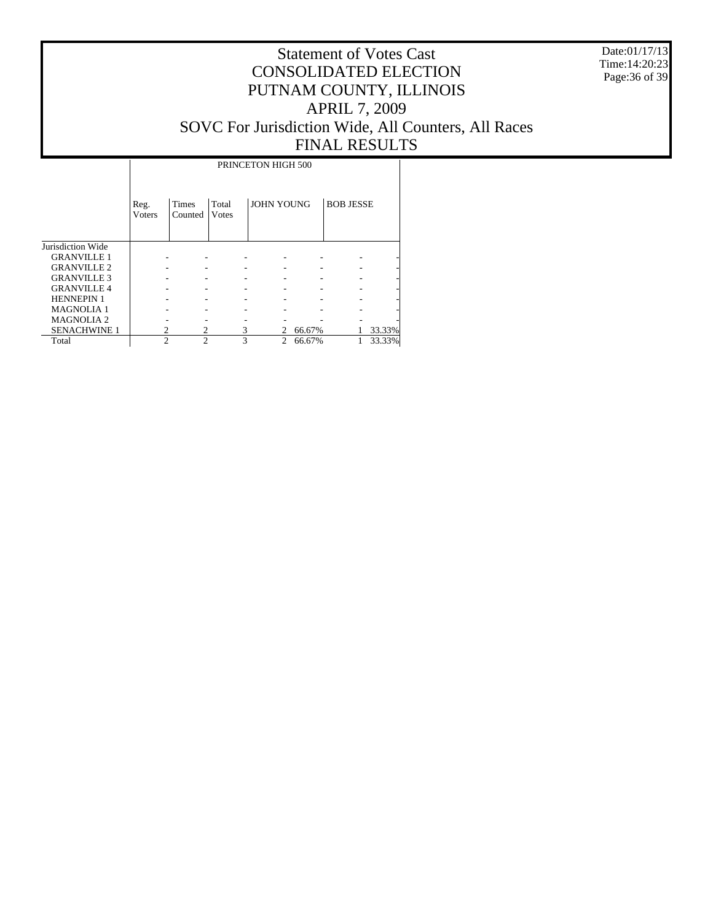Date:01/17/13 Time:14:20:23 Page:36 of 39

|                     |                | PRINCETON HIGH 500 |                |                   |        |                  |        |  |  |  |  |  |  |
|---------------------|----------------|--------------------|----------------|-------------------|--------|------------------|--------|--|--|--|--|--|--|
|                     | Reg.<br>Voters | Times<br>Counted   | Total<br>Votes | <b>JOHN YOUNG</b> |        | <b>BOB JESSE</b> |        |  |  |  |  |  |  |
| Jurisdiction Wide   |                |                    |                |                   |        |                  |        |  |  |  |  |  |  |
| <b>GRANVILLE 1</b>  |                |                    |                |                   |        |                  |        |  |  |  |  |  |  |
| <b>GRANVILLE 2</b>  |                |                    |                |                   |        |                  |        |  |  |  |  |  |  |
| <b>GRANVILLE 3</b>  |                |                    |                |                   |        |                  |        |  |  |  |  |  |  |
| <b>GRANVILLE4</b>   |                |                    |                |                   |        |                  |        |  |  |  |  |  |  |
| <b>HENNEPIN 1</b>   |                |                    |                |                   |        |                  |        |  |  |  |  |  |  |
| <b>MAGNOLIA 1</b>   |                |                    |                |                   |        |                  |        |  |  |  |  |  |  |
| <b>MAGNOLIA2</b>    |                |                    |                |                   |        |                  |        |  |  |  |  |  |  |
| <b>SENACHWINE 1</b> |                |                    | 3              | 2                 | 66.67% |                  | 33.33% |  |  |  |  |  |  |
| Total               | $\mathfrak{D}$ | $\mathfrak{D}$     | 3              | $\overline{c}$    | 66.67% |                  | 33.33% |  |  |  |  |  |  |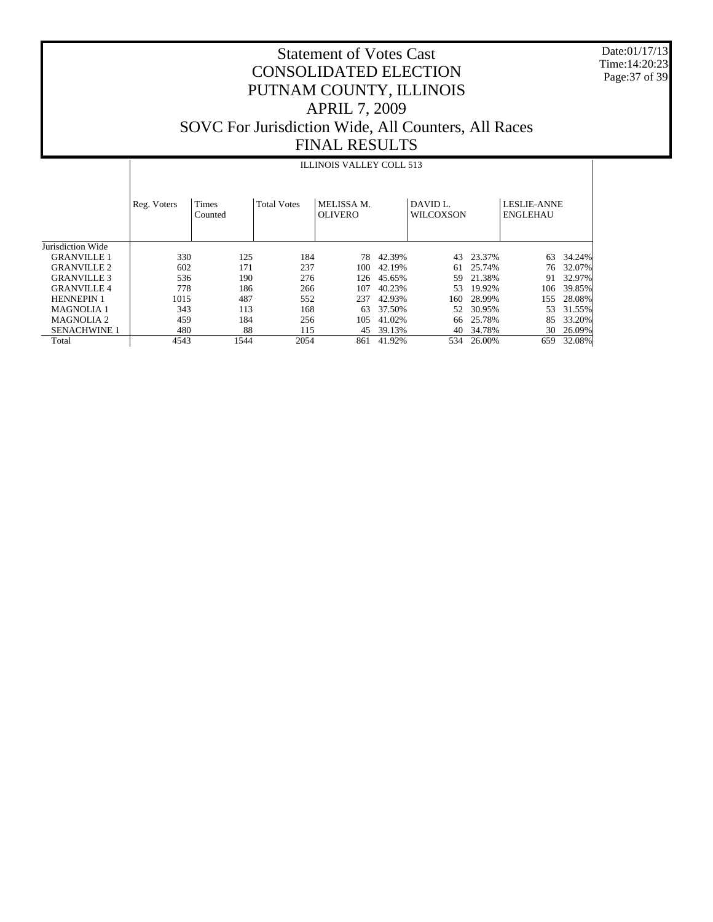Date:01/17/13 Time:14:20:23 Page:37 of 39

# Statement of Votes Cast CONSOLIDATED ELECTION PUTNAM COUNTY, ILLINOIS APRIL 7, 2009 SOVC For Jurisdiction Wide, All Counters, All Races FINAL RESULTS

#### ILLINOIS VALLEY COLL 513

|                     | Reg. Voters | <b>Times</b><br>Counted | <b>Total Votes</b> | MELISSA M.<br><b>OLIVERO</b> |        | DAVID <sub>L</sub><br><b>WILCOXSON</b> |        | <b>LESLIE-ANNE</b><br><b>ENGLEHAU</b> |        |
|---------------------|-------------|-------------------------|--------------------|------------------------------|--------|----------------------------------------|--------|---------------------------------------|--------|
| Jurisdiction Wide   |             |                         |                    |                              |        |                                        |        |                                       |        |
| <b>GRANVILLE 1</b>  | 330         | 125                     | 184                | 78                           | 42.39% | 43                                     | 23.37% | 63                                    | 34.24% |
| <b>GRANVILLE 2</b>  | 602         | 171                     | 237                | 100                          | 42.19% | 61                                     | 25.74% | 76                                    | 32.07% |
| <b>GRANVILLE 3</b>  | 536         | 190                     | 276                | 126                          | 45.65% | 59                                     | 21.38% | 91                                    | 32.97% |
| <b>GRANVILLE4</b>   | 778         | 186                     | 266                | 107                          | 40.23% | 53                                     | 19.92% | 106                                   | 39.85% |
| <b>HENNEPIN 1</b>   | 1015        | 487                     | 552                | 237                          | 42.93% | 160-                                   | 28.99% | 155                                   | 28.08% |
| <b>MAGNOLIA 1</b>   | 343         | 113                     | 168                | 63                           | 37.50% | 52                                     | 30.95% | 53                                    | 31.55% |
| <b>MAGNOLIA 2</b>   | 459         | 184                     | 256                | 105                          | 41.02% | 66                                     | 25.78% | 85                                    | 33.20% |
| <b>SENACHWINE 1</b> | 480         | 88                      | 115                | 45                           | 39.13% | 40                                     | 34.78% | 30                                    | 26.09% |
| Total               | 4543        | 1544                    | 2054               | 861                          | 41.92% | 534                                    | 26.00% | 659                                   | 32.08% |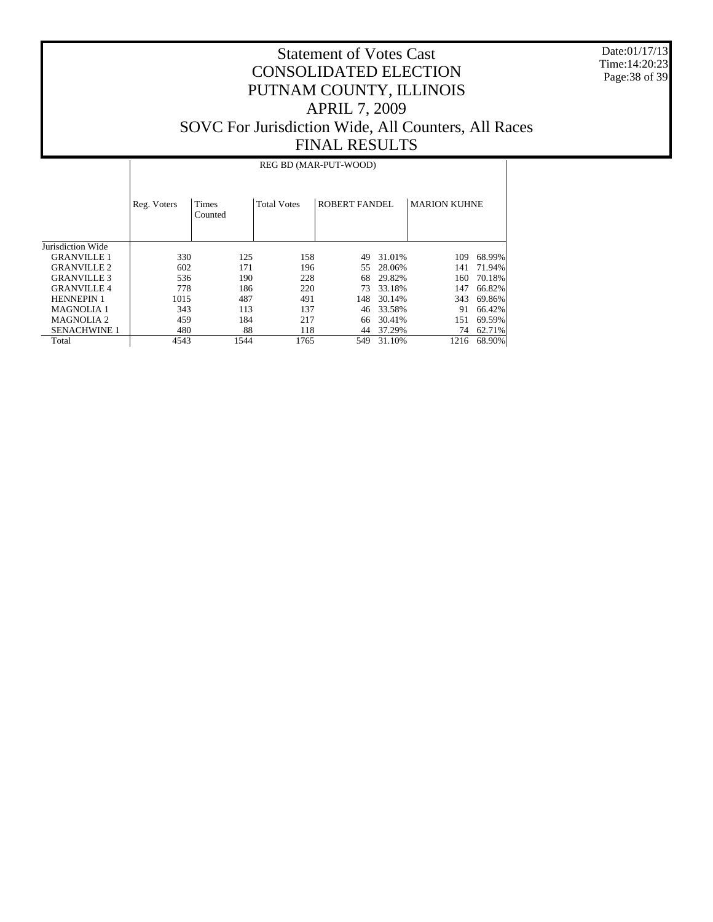Date:01/17/13 Time:14:20:23 Page:38 of 39

# Statement of Votes Cast CONSOLIDATED ELECTION PUTNAM COUNTY, ILLINOIS APRIL 7, 2009 SOVC For Jurisdiction Wide, All Counters, All Races FINAL RESULTS

#### REG BD (MAR-PUT-WOOD)

|                     | Reg. Voters | <b>Times</b><br>Counted | <b>Total Votes</b> | <b>ROBERT FANDEL</b> |        | <b>MARION KUHNE</b> |        |
|---------------------|-------------|-------------------------|--------------------|----------------------|--------|---------------------|--------|
| Jurisdiction Wide   |             |                         |                    |                      |        |                     |        |
| <b>GRANVILLE 1</b>  | 330         | 125                     | 158                | 49                   | 31.01% | 109                 | 68.99% |
| <b>GRANVILLE 2</b>  | 602         | 171                     | 196                | 55                   | 28.06% | 141                 | 71.94% |
| <b>GRANVILLE 3</b>  | 536         | 190                     | 228                | 68                   | 29.82% | 160                 | 70.18% |
| <b>GRANVILLE 4</b>  | 778         | 186                     | 220                | 73                   | 33.18% | 147                 | 66.82% |
| <b>HENNEPIN 1</b>   | 1015        | 487                     | 491                | 148                  | 30.14% | 343                 | 69.86% |
| <b>MAGNOLIA 1</b>   | 343         | 113                     | 137                | 46                   | 33.58% | 91                  | 66.42% |
| <b>MAGNOLIA 2</b>   | 459         | 184                     | 217                | 66                   | 30.41% | 151                 | 69.59% |
| <b>SENACHWINE 1</b> | 480         | 88                      | 118                | 44                   | 37.29% | 74                  | 62.71% |
| Total               | 4543        | 1544                    | 1765               | 549                  | 31.10% | 1216                | 68.90% |